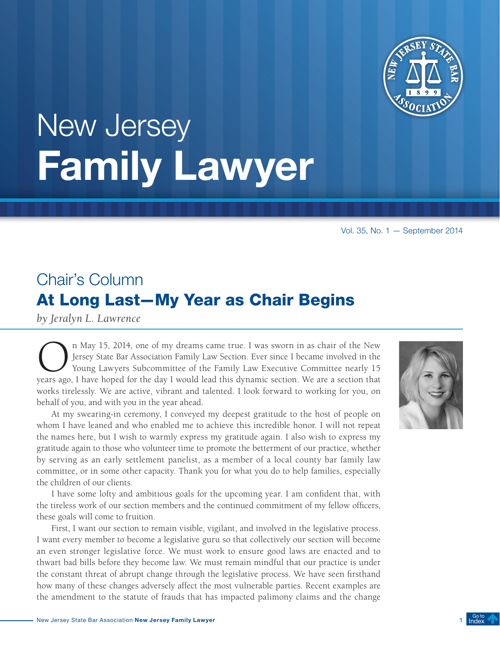

# <span id="page-0-0"></span>New Jersey Family Lawyer

Vol. 35, No. 1 — September 2014

# Chair's Column At Long Last—My Year as Chair Begins

*by Jeralyn L. Lawrence*

On May 15, 2014, one of my dreams came true. I was sworn in as chair of the New Jersey State Bar Association Family Law Section. Ever since I became involved in the Young Lawyers Subcommittee of the Family Law Executive Co Jersey State Bar Association Family Law Section. Ever since I became involved in the Young Lawyers Subcommittee of the Family Law Executive Committee nearly 15 years ago, I have hoped for the day I would lead this dynamic section. We are a section that works tirelessly. We are active, vibrant and talented. I look forward to working for you, on behalf of you, and with you in the year ahead.

At my swearing-in ceremony, I conveyed my deepest gratitude to the host of people on whom I have leaned and who enabled me to achieve this incredible honor. I will not repeat the names here, but I wish to warmly express my gratitude again. I also wish to express my gratitude again to those who volunteer time to promote the betterment of our practice, whether by serving as an early settlement panelist, as a member of a local county bar family law committee, or in some other capacity. Thank you for what you do to help families, especially the children of our clients.

I have some lofty and ambitious goals for the upcoming year. I am confident that, with the tireless work of our section members and the continued commitment of my fellow officers, these goals will come to fruition.

First, I want our section to remain visible, vigilant, and involved in the legislative process. I want every member to become a legislative guru so that collectively our section will become an even stronger legislative force. We must work to ensure good laws are enacted and to thwart bad bills before they become law. We must remain mindful that our practice is under the constant threat of abrupt change through the legislative process. We have seen firsthand how many of these changes adversely affect the most vulnerable parties. Recent examples are the amendment to the statute of frauds that has impacted palimony claims and the change

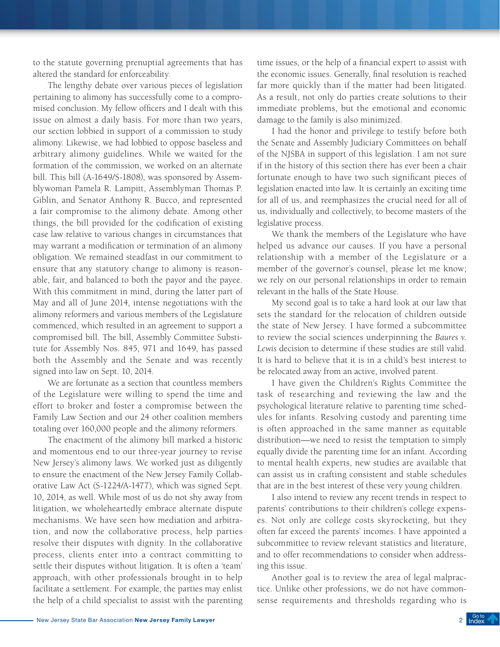to the statute governing prenuptial agreements that has altered the standard for enforceability.

The lengthy debate over various pieces of legislation pertaining to alimony has successfully come to a compromised conclusion. My fellow officers and I dealt with this issue on almost a daily basis. For more than two years, our section lobbied in support of a commission to study alimony. Likewise, we had lobbied to oppose baseless and arbitrary alimony guidelines. While we waited for the formation of the commission, we worked on an alternate bill. This bill (A-1649/S-1808), was sponsored by Assemblywoman Pamela R. Lampitt, Assemblyman Thomas P. Giblin, and Senator Anthony R. Bucco, and represented a fair compromise to the alimony debate. Among other things, the bill provided for the codification of existing case law relative to various changes in circumstances that may warrant a modification or termination of an alimony obligation. We remained steadfast in our commitment to ensure that any statutory change to alimony is reasonable, fair, and balanced to both the payor and the payee. With this commitment in mind, during the latter part of May and all of June 2014, intense negotiations with the alimony reformers and various members of the Legislature commenced, which resulted in an agreement to support a compromised bill. The bill, Assembly Committee Substitute for Assembly Nos. 845, 971 and 1649, has passed both the Assembly and the Senate and was recently signed into law on Sept. 10, 2014.

We are fortunate as a section that countless members of the Legislature were willing to spend the time and effort to broker and foster a compromise between the Family Law Section and our 24 other coalition members totaling over 160,000 people and the alimony reformers.

The enactment of the alimony bill marked a historic and momentous end to our three-year journey to revise New Jersey's alimony laws. We worked just as diligently to ensure the enactment of the New Jersey Family Collaborative Law Act (S-1224/A-1477), which was signed Sept. 10, 2014, as well. While most of us do not shy away from litigation, we wholeheartedly embrace alternate dispute mechanisms. We have seen how mediation and arbitration, and now the collaborative process, help parties resolve their disputes with dignity. In the collaborative process, clients enter into a contract committing to settle their disputes without litigation. It is often a 'team' approach, with other professionals brought in to help facilitate a settlement. For example, the parties may enlist the help of a child specialist to assist with the parenting

time issues, or the help of a financial expert to assist with the economic issues. Generally, final resolution is reached far more quickly than if the matter had been litigated. As a result, not only do parties create solutions to their immediate problems, but the emotional and economic damage to the family is also minimized.

I had the honor and privilege to testify before both the Senate and Assembly Judiciary Committees on behalf of the NJSBA in support of this legislation. I am not sure if in the history of this section there has ever been a chair fortunate enough to have two such significant pieces of legislation enacted into law. It is certainly an exciting time for all of us, and reemphasizes the crucial need for all of us, individually and collectively, to become masters of the legislative process.

We thank the members of the Legislature who have helped us advance our causes. If you have a personal relationship with a member of the Legislature or a member of the governor's counsel, please let me know; we rely on our personal relationships in order to remain relevant in the halls of the State House.

My second goal is to take a hard look at our law that sets the standard for the relocation of children outside the state of New Jersey. I have formed a subcommittee to review the social sciences underpinning the *Baures v. Lewis* decision to determine if these studies are still valid. It is hard to believe that it is in a child's best interest to be relocated away from an active, involved parent.

I have given the Children's Rights Committee the task of researching and reviewing the law and the psychological literature relative to parenting time schedules for infants. Resolving custody and parenting time is often approached in the same manner as equitable distribution—we need to resist the temptation to simply equally divide the parenting time for an infant. According to mental health experts, new studies are available that can assist us in crafting consistent and stable schedules that are in the best interest of these very young children.

I also intend to review any recent trends in respect to parents' contributions to their children's college expenses. Not only are college costs skyrocketing, but they often far exceed the parents' incomes. I have appointed a subcommittee to review relevant statistics and literature, and to offer recommendations to consider when addressing this issue.

Another goal is to review the area of legal malpractice. Unlike other professions, we do not have commonsense requirements and thresholds regarding who is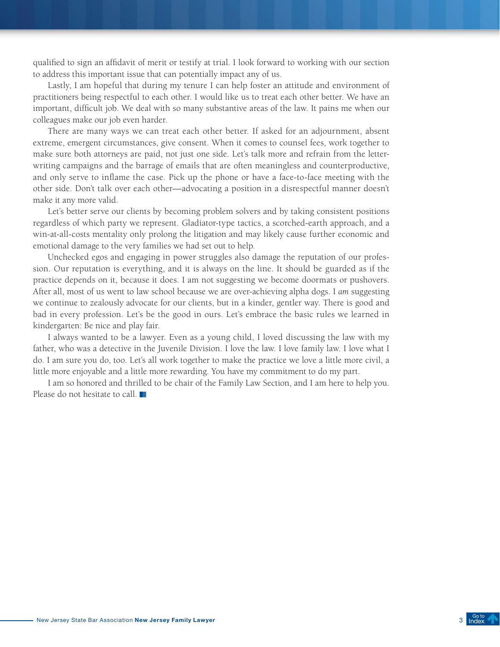qualified to sign an affidavit of merit or testify at trial. I look forward to working with our section to address this important issue that can potentially impact any of us.

Lastly, I am hopeful that during my tenure I can help foster an attitude and environment of practitioners being respectful to each other. I would like us to treat each other better. We have an important, difficult job. We deal with so many substantive areas of the law. It pains me when our colleagues make our job even harder.

There are many ways we can treat each other better. If asked for an adjournment, absent extreme, emergent circumstances, give consent. When it comes to counsel fees, work together to make sure both attorneys are paid, not just one side. Let's talk more and refrain from the letterwriting campaigns and the barrage of emails that are often meaningless and counterproductive, and only serve to inflame the case. Pick up the phone or have a face-to-face meeting with the other side. Don't talk over each other—advocating a position in a disrespectful manner doesn't make it any more valid.

Let's better serve our clients by becoming problem solvers and by taking consistent positions regardless of which party we represent. Gladiator-type tactics, a scorched-earth approach, and a win-at-all-costs mentality only prolong the litigation and may likely cause further economic and emotional damage to the very families we had set out to help.

Unchecked egos and engaging in power struggles also damage the reputation of our profession. Our reputation is everything, and it is always on the line. It should be guarded as if the practice depends on it, because it does. I am not suggesting we become doormats or pushovers. After all, most of us went to law school because we are over-achieving alpha dogs. I *am* suggesting we continue to zealously advocate for our clients, but in a kinder, gentler way. There is good and bad in every profession. Let's be the good in ours. Let's embrace the basic rules we learned in kindergarten: Be nice and play fair.

I always wanted to be a lawyer. Even as a young child, I loved discussing the law with my father, who was a detective in the Juvenile Division. I love the law. I love family law. I love what I do. I am sure you do, too. Let's all work together to make the practice we love a little more civil, a little more enjoyable and a little more rewarding. You have my commitment to do my part.

I am so honored and thrilled to be chair of the Family Law Section, and I am here to help you. Please do not hesitate to call.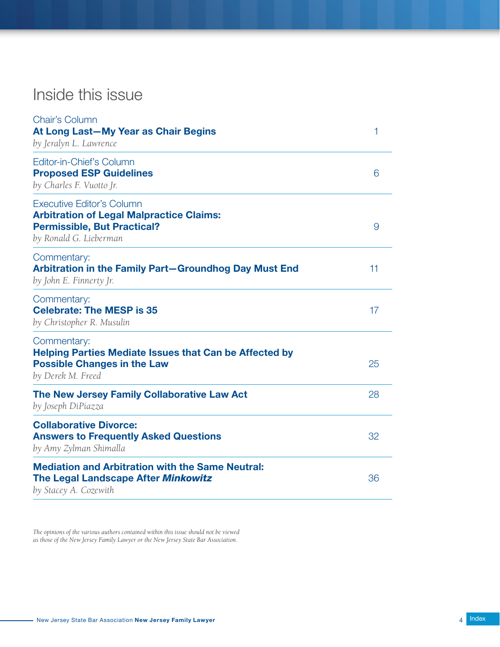# <span id="page-3-0"></span>Inside this issue

| <b>Chair's Column</b><br>At Long Last-My Year as Chair Begins<br>by Jeralyn L. Lawrence                                                             | 1  |
|-----------------------------------------------------------------------------------------------------------------------------------------------------|----|
| Editor-in-Chief's Column<br><b>Proposed ESP Guidelines</b><br>by Charles F. Vuotto Jr.                                                              | 6  |
| <b>Executive Editor's Column</b><br><b>Arbitration of Legal Malpractice Claims:</b><br><b>Permissible, But Practical?</b><br>by Ronald G. Lieberman | 9  |
| Commentary:<br>Arbitration in the Family Part-Groundhog Day Must End<br>by John E. Finnerty Jr.                                                     | 11 |
| Commentary:<br><b>Celebrate: The MESP is 35</b><br>by Christopher R. Musulin                                                                        | 17 |
| Commentary:<br><b>Helping Parties Mediate Issues that Can be Affected by</b><br><b>Possible Changes in the Law</b><br>by Derek M. Freed             | 25 |
| The New Jersey Family Collaborative Law Act<br>by Joseph DiPiazza                                                                                   | 28 |
| <b>Collaborative Divorce:</b><br><b>Answers to Frequently Asked Questions</b><br>by Amy Zylman Shimalla                                             | 32 |
| <b>Mediation and Arbitration with the Same Neutral:</b><br>The Legal Landscape After Minkowitz<br>by Stacey A. Cozewith                             | 36 |

*The opinions of the various authors contained within this issue should not be viewed as those of the New Jersey Family Lawyer or the New Jersey State Bar Association.*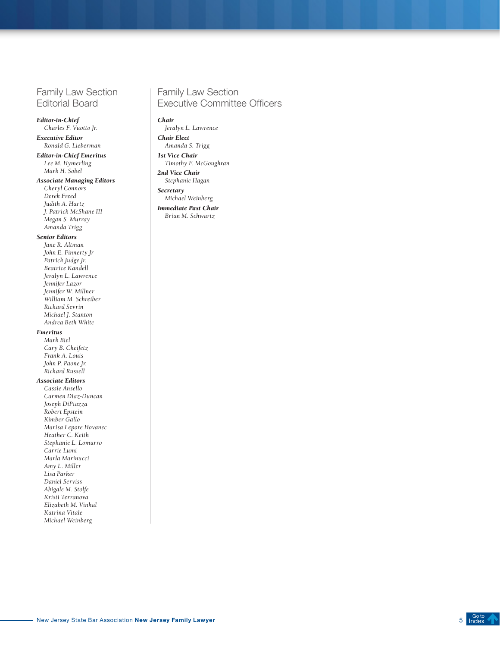# Family Law Section Editorial Board

#### *Editor-in-Chief*

*Charles F. Vuotto Jr. Executive Editor*

*Ronald G. Lieberman*

*Editor-in-Chief Emeritus Lee M. Hymerling Mark H. Sobel*

#### *Associate Managing Editors*

*Cheryl Connors Derek Freed Judith A. Hartz J. Patrick McShane III Megan S. Murray Amanda Trigg*

#### *Senior Editors*

*Jane R. Altman John E. Finnerty Jr Patrick Judge Jr. Beatrice Kandell Jeralyn L. Lawrence Jennifer Lazor Jennifer W. Millner William M. Schreiber Richard Sevrin Michael J. Stanton Andrea Beth White*

#### *Emeritus*

*Mark Biel Cary B. Cheifetz Frank A. Louis John P. Paone Jr. Richard Russell*

#### *Associate Editors*

*Cassie Ansello Carmen Diaz-Duncan Joseph DiPiazza Robert Epstein Kimber Gallo Marisa Lepore Hovanec Heather C. Keith Stephanie L. Lomurro Carrie Lumi Marla Marinucci Amy L. Miller Lisa Parker Daniel Serviss Abigale M. Stolfe Kristi Terranova Elizabeth M. Vinhal Katrina Vitale Michael Weinberg*

#### Family Law Section Executive Committee Officers

#### *Chair*

*Jeralyn L. Lawrence Chair Elect*

*Amanda S. Trigg*

*1st Vice Chair Timothy F. McGoughran*

*2nd Vice Chair Stephanie Hagan*

*Secretary*

*Michael Weinberg Immediate Past Chair Brian M. Schwartz* 

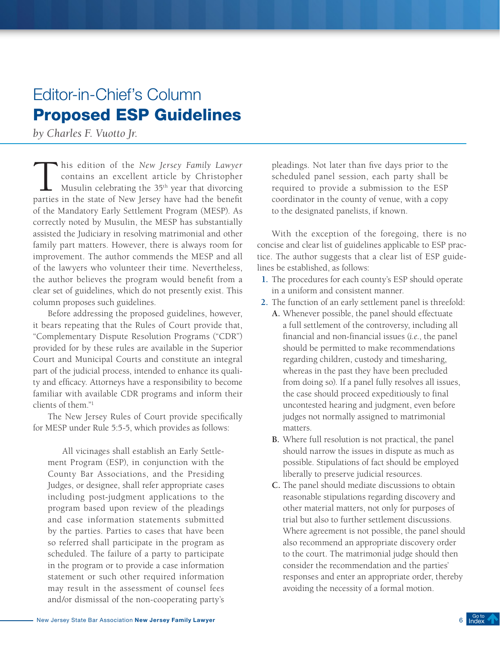# <span id="page-5-0"></span>Editor-in-Chief's Column Proposed ESP Guidelines

*by Charles F. Vuotto Jr.*

This edition of the *New Jersey Family Lawyer*<br>contains an excellent article by Christopher<br>Musulin celebrating the 35<sup>th</sup> year that divorcing<br>parties in the state of New Jersey have had the benefit contains an excellent article by Christopher Musulin celebrating the 35<sup>th</sup> year that divorcing parties in the state of New Jersey have had the benefit of the Mandatory Early Settlement Program (MESP). As correctly noted by Musulin, the MESP has substantially assisted the Judiciary in resolving matrimonial and other family part matters. However, there is always room for improvement. The author commends the MESP and all of the lawyers who volunteer their time. Nevertheless, the author believes the program would benefit from a clear set of guidelines, which do not presently exist. This column proposes such guidelines.

Before addressing the proposed guidelines, however, it bears repeating that the Rules of Court provide that, "Complementary Dispute Resolution Programs ("CDR") provided for by these rules are available in the Superior Court and Municipal Courts and constitute an integral part of the judicial process, intended to enhance its quality and efficacy. Attorneys have a responsibility to become familiar with available CDR programs and inform their clients of them."1

The New Jersey Rules of Court provide specifically for MESP under Rule 5:5-5, which provides as follows:

All vicinages shall establish an Early Settlement Program (ESP), in conjunction with the County Bar Associations, and the Presiding Judges, or designee, shall refer appropriate cases including post-judgment applications to the program based upon review of the pleadings and case information statements submitted by the parties. Parties to cases that have been so referred shall participate in the program as scheduled. The failure of a party to participate in the program or to provide a case information statement or such other required information may result in the assessment of counsel fees and/or dismissal of the non-cooperating party's

pleadings. Not later than five days prior to the scheduled panel session, each party shall be required to provide a submission to the ESP coordinator in the county of venue, with a copy to the designated panelists, if known.

With the exception of the foregoing, there is no concise and clear list of guidelines applicable to ESP practice. The author suggests that a clear list of ESP guidelines be established, as follows:

- **1.** The procedures for each county's ESP should operate in a uniform and consistent manner.
- **2.** The function of an early settlement panel is threefold:
	- **A.** Whenever possible, the panel should effectuate a full settlement of the controversy, including all financial and non-financial issues (*i.e.*, the panel should be permitted to make recommendations regarding children, custody and timesharing, whereas in the past they have been precluded from doing so). If a panel fully resolves all issues, the case should proceed expeditiously to final uncontested hearing and judgment, even before judges not normally assigned to matrimonial matters.
	- **B.** Where full resolution is not practical, the panel should narrow the issues in dispute as much as possible. Stipulations of fact should be employed liberally to preserve judicial resources.
	- **C.** The panel should mediate discussions to obtain reasonable stipulations regarding discovery and other material matters, not only for purposes of trial but also to further settlement discussions. Where agreement is not possible, the panel should also recommend an appropriate discovery order to the court. The matrimonial judge should then consider the recommendation and the parties' responses and enter an appropriate order, thereby avoiding the necessity of a formal motion.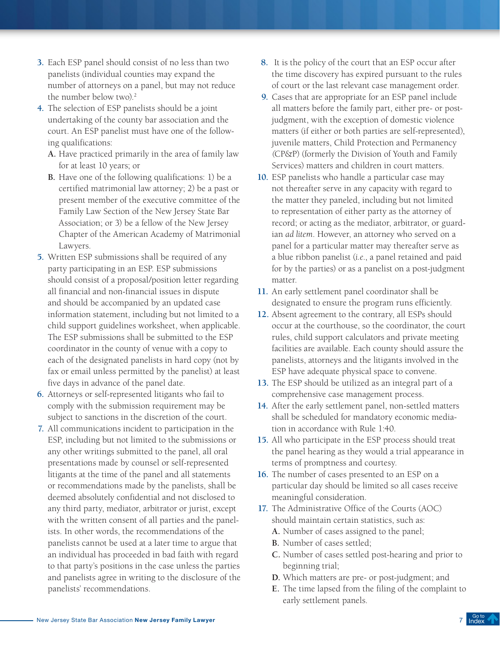- **3.** Each ESP panel should consist of no less than two panelists (individual counties may expand the number of attorneys on a panel, but may not reduce the number below two).<sup>2</sup>
- **4.** The selection of ESP panelists should be a joint undertaking of the county bar association and the court. An ESP panelist must have one of the following qualifications:
	- **A.** Have practiced primarily in the area of family law for at least 10 years; or
	- **B.** Have one of the following qualifications: 1) be a certified matrimonial law attorney; 2) be a past or present member of the executive committee of the Family Law Section of the New Jersey State Bar Association; or 3) be a fellow of the New Jersey Chapter of the American Academy of Matrimonial Lawyers.
- **5.** Written ESP submissions shall be required of any party participating in an ESP. ESP submissions should consist of a proposal/position letter regarding all financial and non-financial issues in dispute and should be accompanied by an updated case information statement, including but not limited to a child support guidelines worksheet, when applicable. The ESP submissions shall be submitted to the ESP coordinator in the county of venue with a copy to each of the designated panelists in hard copy (not by fax or email unless permitted by the panelist) at least five days in advance of the panel date.
- **6.** Attorneys or self-represented litigants who fail to comply with the submission requirement may be subject to sanctions in the discretion of the court.
- **7.** All communications incident to participation in the ESP, including but not limited to the submissions or any other writings submitted to the panel, all oral presentations made by counsel or self-represented litigants at the time of the panel and all statements or recommendations made by the panelists, shall be deemed absolutely confidential and not disclosed to any third party, mediator, arbitrator or jurist, except with the written consent of all parties and the panelists. In other words, the recommendations of the panelists cannot be used at a later time to argue that an individual has proceeded in bad faith with regard to that party's positions in the case unless the parties and panelists agree in writing to the disclosure of the panelists' recommendations.
- **8.** It is the policy of the court that an ESP occur after the time discovery has expired pursuant to the rules of court or the last relevant case management order.
- **9.** Cases that are appropriate for an ESP panel include all matters before the family part, either pre- or postjudgment, with the exception of domestic violence matters (if either or both parties are self-represented), juvenile matters, Child Protection and Permanency *(*CP&P) (formerly the Division of Youth and Family Services) matters and children in court matters.
- **10.** ESP panelists who handle a particular case may not thereafter serve in any capacity with regard to the matter they paneled, including but not limited to representation of either party as the attorney of record; or acting as the mediator, arbitrator, or guardian *ad litem*. However, an attorney who served on a panel for a particular matter may thereafter serve as a blue ribbon panelist (*i.e*., a panel retained and paid for by the parties) or as a panelist on a post-judgment matter.
- **11.** An early settlement panel coordinator shall be designated to ensure the program runs efficiently.
- **12.** Absent agreement to the contrary, all ESPs should occur at the courthouse, so the coordinator, the court rules, child support calculators and private meeting facilities are available. Each county should assure the panelists, attorneys and the litigants involved in the ESP have adequate physical space to convene.
- **13.** The ESP should be utilized as an integral part of a comprehensive case management process.
- **14.** After the early settlement panel, non-settled matters shall be scheduled for mandatory economic mediation in accordance with Rule 1:40.
- **15.** All who participate in the ESP process should treat the panel hearing as they would a trial appearance in terms of promptness and courtesy.
- **16.** The number of cases presented to an ESP on a particular day should be limited so all cases receive meaningful consideration.
- **17.** The Administrative Office of the Courts (AOC) should maintain certain statistics, such as:
	- **A.** Number of cases assigned to the panel;
	- **B.** Number of cases settled;
	- **C.** Number of cases settled post-hearing and prior to beginning trial;
	- **D.** Which matters are pre- or post-judgment; and
	- **E.** The time lapsed from the filing of the complaint to early settlement panels.

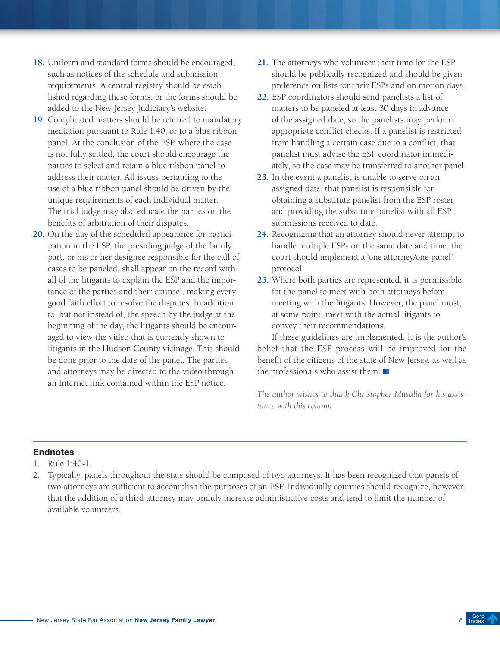- **18.** Uniform and standard forms should be encouraged, such as notices of the schedule and submission requirements. A central registry should be established regarding these forms, or the forms should be added to the New Jersey Judiciary's website.
- **19.** Complicated matters should be referred to mandatory mediation pursuant to Rule 1:40, or to a blue ribbon panel. At the conclusion of the ESP, where the case is not fully settled, the court should encourage the parties to select and retain a blue ribbon panel to address their matter. All issues pertaining to the use of a blue ribbon panel should be driven by the unique requirements of each individual matter. The trial judge may also educate the parties on the benefits of arbitration of their disputes.
- **20.** On the day of the scheduled appearance for participation in the ESP, the presiding judge of the family part, or his or her designee responsible for the call of cases to be paneled, shall appear on the record with all of the litigants to explain the ESP and the importance of the parties and their counsel, making every good faith effort to resolve the disputes. In addition to, but not instead of, the speech by the judge at the beginning of the day, the litigants should be encouraged to view the video that is currently shown to litigants in the Hudson County vicinage. This should be done prior to the date of the panel. The parties and attorneys may be directed to the video through an Internet link contained within the ESP notice.
- **21.** The attorneys who volunteer their time for the ESP should be publically recognized and should be given preference on lists for their ESPs and on motion days.
- **22.** ESP coordinators should send panelists a list of matters to be paneled at least 30 days in advance of the assigned date, so the panelists may perform appropriate conflict checks. If a panelist is restricted from handling a certain case due to a conflict, that panelist must advise the ESP coordinator immediately, so the case may be transferred to another panel.
- **23.** In the event a panelist is unable to serve on an assigned date, that panelist is responsible for obtaining a substitute panelist from the ESP roster and providing the substitute panelist with all ESP submissions received to date.
- **24.** Recognizing that an attorney should never attempt to handle multiple ESPs on the same date and time, the court should implement a 'one attorney/one panel' protocol.
- **25.** Where both parties are represented, it is permissible for the panel to meet with both attorneys before meeting with the litigants. However, the panel must, at some point, meet with the actual litigants to convey their recommendations.

If these guidelines are implemented, it is the author's belief that the ESP process will be improved for the benefit of the citizens of the state of New Jersey, as well as the professionals who assist them.

*The author wishes to thank Christopher Musulin for his assistance with this column.*

- 1. Rule 1:40-1.
- 2. Typically, panels throughout the state should be composed of two attorneys. It has been recognized that panels of two attorneys are sufficient to accomplish the purposes of an ESP. Individually counties should recognize, however, that the addition of a third attorney may unduly increase administrative costs and tend to limit the number of available volunteers.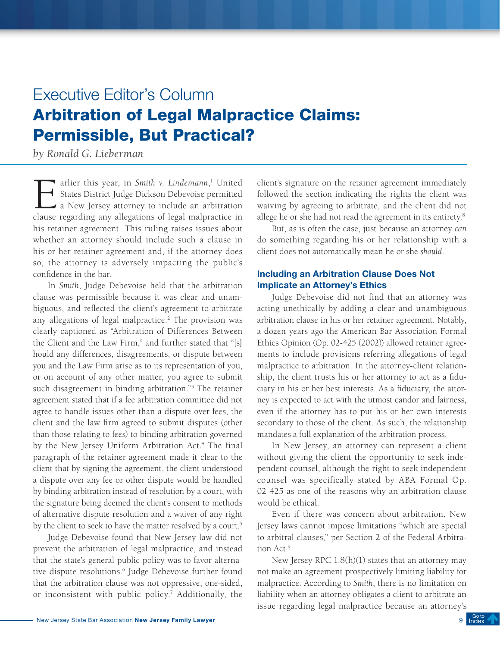# <span id="page-8-0"></span>Executive Editor's Column Arbitration of Legal Malpractice Claims: Permissible, But Practical?

*by Ronald G. Lieberman*

arlier this year, in *Smith v. Lindemann*,<br>States District Judge Dickson Debevoise p<br>a New Jersey attorney to include an ar<br>clause regarding any allegations of legal malnr 1 United States District Judge Dickson Debevoise permitted a New Jersey attorney to include an arbitration clause regarding any allegations of legal malpractice in his retainer agreement. This ruling raises issues about whether an attorney should include such a clause in his or her retainer agreement and, if the attorney does so, the attorney is adversely impacting the public's confidence in the bar.

In *Smith*, Judge Debevoise held that the arbitration clause was permissible because it was clear and unambiguous, and reflected the client's agreement to arbitrate any allegations of legal malpractice.<sup>2</sup> The provision was clearly captioned as "Arbitration of Differences Between the Client and the Law Firm," and further stated that "[s] hould any differences, disagreements, or dispute between you and the Law Firm arise as to its representation of you, or on account of any other matter, you agree to submit such disagreement in binding arbitration."3 The retainer agreement stated that if a fee arbitration committee did not agree to handle issues other than a dispute over fees, the client and the law firm agreed to submit disputes (other than those relating to fees) to binding arbitration governed by the New Jersey Uniform Arbitration Act.<sup>4</sup> The final paragraph of the retainer agreement made it clear to the client that by signing the agreement, the client understood a dispute over any fee or other dispute would be handled by binding arbitration instead of resolution by a court, with the signature being deemed the client's consent to methods of alternative dispute resolution and a waiver of any right by the client to seek to have the matter resolved by a court.<sup>5</sup>

Judge Debevoise found that New Jersey law did not prevent the arbitration of legal malpractice, and instead that the state's general public policy was to favor alternative dispute resolutions.<sup>6</sup> Judge Debevoise further found that the arbitration clause was not oppressive, one-sided, or inconsistent with public policy.<sup>7</sup> Additionally, the client's signature on the retainer agreement immediately followed the section indicating the rights the client was waiving by agreeing to arbitrate, and the client did not allege he or she had not read the agreement in its entirety.<sup>8</sup>

But, as is often the case, just because an attorney *can*  do something regarding his or her relationship with a client does not automatically mean he or she *should*.

# Including an Arbitration Clause Does Not Implicate an Attorney's Ethics

Judge Debevoise did not find that an attorney was acting unethically by adding a clear and unambiguous arbitration clause in his or her retainer agreement. Notably, a dozen years ago the American Bar Association Formal Ethics Opinion (Op. 02-425 (2002)) allowed retainer agreements to include provisions referring allegations of legal malpractice to arbitration. In the attorney-client relationship, the client trusts his or her attorney to act as a fiduciary in his or her best interests. As a fiduciary, the attorney is expected to act with the utmost candor and fairness, even if the attorney has to put his or her own interests secondary to those of the client. As such, the relationship mandates a full explanation of the arbitration process.

In New Jersey, an attorney can represent a client without giving the client the opportunity to seek independent counsel, although the right to seek independent counsel was specifically stated by ABA Formal Op. 02-425 as one of the reasons why an arbitration clause would be ethical.

Even if there was concern about arbitration, New Jersey laws cannot impose limitations "which are special to arbitral clauses," per Section 2 of the Federal Arbitration Act.<sup>9</sup>

New Jersey RPC  $1.8(h)(1)$  states that an attorney may not make an agreement prospectively limiting liability for malpractice. According to *Smith*, there is no limitation on liability when an attorney obligates a client to arbitrate an issue regarding legal malpractice because an attorney's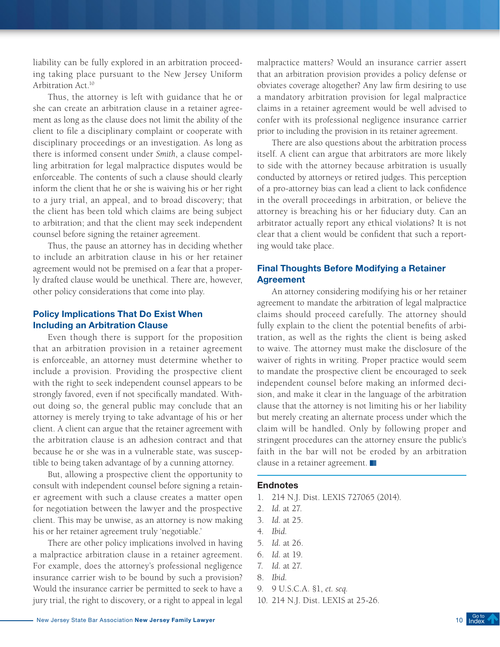liability can be fully explored in an arbitration proceeding taking place pursuant to the New Jersey Uniform Arbitration Act.<sup>10</sup>

Thus, the attorney is left with guidance that he or she can create an arbitration clause in a retainer agreement as long as the clause does not limit the ability of the client to file a disciplinary complaint or cooperate with disciplinary proceedings or an investigation. As long as there is informed consent under *Smith*, a clause compelling arbitration for legal malpractice disputes would be enforceable. The contents of such a clause should clearly inform the client that he or she is waiving his or her right to a jury trial, an appeal, and to broad discovery; that the client has been told which claims are being subject to arbitration; and that the client may seek independent counsel before signing the retainer agreement.

Thus, the pause an attorney has in deciding whether to include an arbitration clause in his or her retainer agreement would not be premised on a fear that a properly drafted clause would be unethical. There are, however, other policy considerations that come into play.

## Policy Implications That Do Exist When Including an Arbitration Clause

Even though there is support for the proposition that an arbitration provision in a retainer agreement is enforceable, an attorney must determine whether to include a provision. Providing the prospective client with the right to seek independent counsel appears to be strongly favored, even if not specifically mandated. Without doing so, the general public may conclude that an attorney is merely trying to take advantage of his or her client. A client can argue that the retainer agreement with the arbitration clause is an adhesion contract and that because he or she was in a vulnerable state, was susceptible to being taken advantage of by a cunning attorney.

But, allowing a prospective client the opportunity to consult with independent counsel before signing a retainer agreement with such a clause creates a matter open for negotiation between the lawyer and the prospective client. This may be unwise, as an attorney is now making his or her retainer agreement truly 'negotiable.'

There are other policy implications involved in having a malpractice arbitration clause in a retainer agreement. For example, does the attorney's professional negligence insurance carrier wish to be bound by such a provision? Would the insurance carrier be permitted to seek to have a jury trial, the right to discovery, or a right to appeal in legal malpractice matters? Would an insurance carrier assert that an arbitration provision provides a policy defense or obviates coverage altogether? Any law firm desiring to use a mandatory arbitration provision for legal malpractice claims in a retainer agreement would be well advised to confer with its professional negligence insurance carrier prior to including the provision in its retainer agreement.

There are also questions about the arbitration process itself. A client can argue that arbitrators are more likely to side with the attorney because arbitration is usually conducted by attorneys or retired judges. This perception of a pro-attorney bias can lead a client to lack confidence in the overall proceedings in arbitration, or believe the attorney is breaching his or her fiduciary duty. Can an arbitrator actually report any ethical violations? It is not clear that a client would be confident that such a reporting would take place.

# Final Thoughts Before Modifying a Retainer Agreement

An attorney considering modifying his or her retainer agreement to mandate the arbitration of legal malpractice claims should proceed carefully. The attorney should fully explain to the client the potential benefits of arbitration, as well as the rights the client is being asked to waive. The attorney must make the disclosure of the waiver of rights in writing. Proper practice would seem to mandate the prospective client be encouraged to seek independent counsel before making an informed decision, and make it clear in the language of the arbitration clause that the attorney is not limiting his or her liability but merely creating an alternate process under which the claim will be handled. Only by following proper and stringent procedures can the attorney ensure the public's faith in the bar will not be eroded by an arbitration clause in a retainer agreement.

- 1. 214 N.J. Dist. LEXIS 727065 (2014).
- 2. *Id.* at 27.
- 3. *Id.* at 25.
- 4. *Ibid.*
- 5. *Id.* at 26.
- 6. *Id.* at 19.
- 7. *Id.* at 27.
- 8. *Ibid.*
- 9. 9 U.S.C.A. §1, *et. seq.*
- 10. 214 N.J. Dist. LEXIS at 25-26.

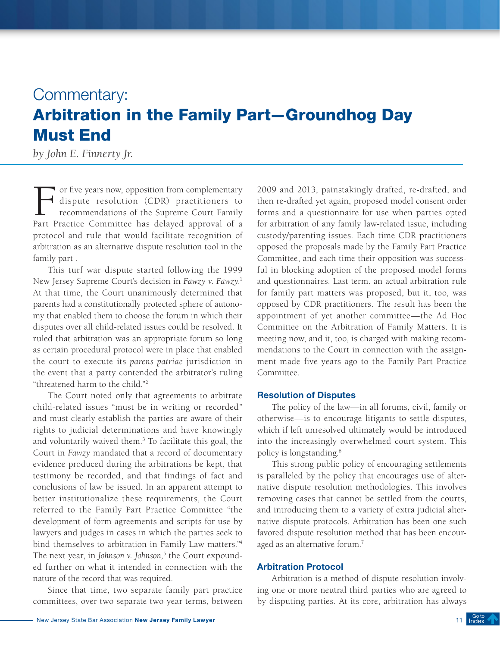# <span id="page-10-0"></span>Commentary: Arbitration in the Family Part—Groundhog Day Must End

*by John E. Finnerty Jr.*

For five years now, opposition from complementary<br>dispute resolution (CDR) practitioners to<br>recommendations of the Supreme Court Family<br>Part Practice Committee has delayed approval of a dispute resolution (CDR) practitioners to recommendations of the Supreme Court Family Part Practice Committee has delayed approval of a protocol and rule that would facilitate recognition of arbitration as an alternative dispute resolution tool in the family part .

This turf war dispute started following the 1999 New Jersey Supreme Court's decision in *Fawzy v. Fawzy*. 1 At that time, the Court unanimously determined that parents had a constitutionally protected sphere of autonomy that enabled them to choose the forum in which their disputes over all child-related issues could be resolved. It ruled that arbitration was an appropriate forum so long as certain procedural protocol were in place that enabled the court to execute its *parens patriae* jurisdiction in the event that a party contended the arbitrator's ruling "threatened harm to the child."2

The Court noted only that agreements to arbitrate child-related issues "must be in writing or recorded" and must clearly establish the parties are aware of their rights to judicial determinations and have knowingly and voluntarily waived them.<sup>3</sup> To facilitate this goal, the Court in *Fawzy* mandated that a record of documentary evidence produced during the arbitrations be kept, that testimony be recorded, and that findings of fact and conclusions of law be issued. In an apparent attempt to better institutionalize these requirements, the Court referred to the Family Part Practice Committee "the development of form agreements and scripts for use by lawyers and judges in cases in which the parties seek to bind themselves to arbitration in Family Law matters."4 The next year, in *Johnson v. Johnson*,<sup>5</sup> the Court expounded further on what it intended in connection with the nature of the record that was required.

Since that time, two separate family part practice committees, over two separate two-year terms, between

2009 and 2013, painstakingly drafted, re-drafted, and then re-drafted yet again, proposed model consent order forms and a questionnaire for use when parties opted for arbitration of any family law-related issue, including custody/parenting issues. Each time CDR practitioners opposed the proposals made by the Family Part Practice Committee, and each time their opposition was successful in blocking adoption of the proposed model forms and questionnaires. Last term, an actual arbitration rule for family part matters was proposed, but it, too, was opposed by CDR practitioners. The result has been the appointment of yet another committee—the Ad Hoc Committee on the Arbitration of Family Matters. It is meeting now, and it, too, is charged with making recommendations to the Court in connection with the assignment made five years ago to the Family Part Practice Committee.

# Resolution of Disputes

The policy of the law—in all forums, civil, family or otherwise—is to encourage litigants to settle disputes, which if left unresolved ultimately would be introduced into the increasingly overwhelmed court system. This policy is longstanding.6

This strong public policy of encouraging settlements is paralleled by the policy that encourages use of alternative dispute resolution methodologies. This involves removing cases that cannot be settled from the courts, and introducing them to a variety of extra judicial alternative dispute protocols. Arbitration has been one such favored dispute resolution method that has been encouraged as an alternative forum.<sup>7</sup>

#### Arbitration Protocol

Arbitration is a method of dispute resolution involving one or more neutral third parties who are agreed to by disputing parties. At its core, arbitration has always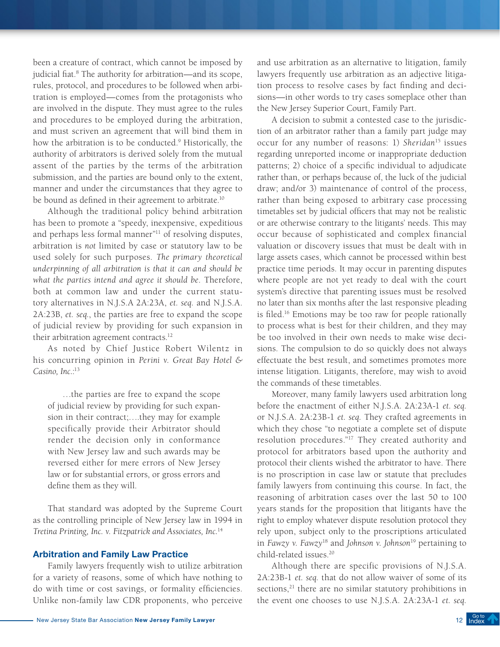been a creature of contract, which cannot be imposed by judicial fiat.<sup>8</sup> The authority for arbitration—and its scope, rules, protocol, and procedures to be followed when arbitration is employed—comes from the protagonists who are involved in the dispute. They must agree to the rules and procedures to be employed during the arbitration, and must scriven an agreement that will bind them in how the arbitration is to be conducted.9 Historically, the authority of arbitrators is derived solely from the mutual assent of the parties by the terms of the arbitration submission, and the parties are bound only to the extent, manner and under the circumstances that they agree to be bound as defined in their agreement to arbitrate.<sup>10</sup>

Although the traditional policy behind arbitration has been to promote a "speedy, inexpensive, expeditious and perhaps less formal manner"<sup>11</sup> of resolving disputes, arbitration is *not* limited by case or statutory law to be used solely for such purposes. *The primary theoretical underpinning of all arbitration is that it can and should be what the parties intend and agree it should be*. Therefore, both at common law and under the current statutory alternatives in N.J.S.A 2A:23A, *et. seq.* and N.J.S.A. 2A:23B, *et. seq.*, the parties are free to expand the scope of judicial review by providing for such expansion in their arbitration agreement contracts.<sup>12</sup>

As noted by Chief Justice Robert Wilentz in his concurring opinion in *Perini v. Great Bay Hotel &*  Casino, Inc.:<sup>13</sup>

…the parties are free to expand the scope of judicial review by providing for such expansion in their contract;….they may for example specifically provide their Arbitrator should render the decision only in conformance with New Jersey law and such awards may be reversed either for mere errors of New Jersey law or for substantial errors, or gross errors and define them as they will.

That standard was adopted by the Supreme Court as the controlling principle of New Jersey law in 1994 in *Tretina Printing, Inc. v. Fitzpatrick and Associates, Inc.*<sup>14</sup>

#### Arbitration and Family Law Practice

Family lawyers frequently wish to utilize arbitration for a variety of reasons, some of which have nothing to do with time or cost savings, or formality efficiencies. Unlike non-family law CDR proponents, who perceive and use arbitration as an alternative to litigation, family lawyers frequently use arbitration as an adjective litigation process to resolve cases by fact finding and decisions—in other words to try cases someplace other than the New Jersey Superior Court, Family Part.

A decision to submit a contested case to the jurisdiction of an arbitrator rather than a family part judge may occur for any number of reasons: 1) *Sheridan*<sup>15</sup> issues regarding unreported income or inappropriate deduction patterns; 2) choice of a specific individual to adjudicate rather than, or perhaps because of, the luck of the judicial draw; and/or 3) maintenance of control of the process, rather than being exposed to arbitrary case processing timetables set by judicial officers that may not be realistic or are otherwise contrary to the litigants' needs. This may occur because of sophisticated and complex financial valuation or discovery issues that must be dealt with in large assets cases, which cannot be processed within best practice time periods. It may occur in parenting disputes where people are not yet ready to deal with the court system's directive that parenting issues must be resolved no later than six months after the last responsive pleading is filed.16 Emotions may be too raw for people rationally to process what is best for their children, and they may be too involved in their own needs to make wise decisions. The compulsion to do so quickly does not always effectuate the best result, and sometimes promotes more intense litigation. Litigants, therefore, may wish to avoid the commands of these timetables.

Moreover, many family lawyers used arbitration long before the enactment of either N.J.S.A*.* 2A:23A-1 *et. seq.* or N.J.S.A. 2A:23B-1 *et. seq.* They crafted agreements in which they chose "to negotiate a complete set of dispute resolution procedures."17 They created authority and protocol for arbitrators based upon the authority and protocol their clients wished the arbitrator to have. There is no proscription in case law or statute that precludes family lawyers from continuing this course. In fact, the reasoning of arbitration cases over the last 50 to 100 years stands for the proposition that litigants have the right to employ whatever dispute resolution protocol they rely upon, subject only to the proscriptions articulated in *Fawzy v. Fawzy*18 and *Johnson v. Johnson*<sup>19</sup> pertaining to child-related issues.20

Although there are specific provisions of N.J.S.A. 2A:23B-1 *et. seq.* that do not allow waiver of some of its sections,<sup>21</sup> there are no similar statutory prohibitions in the event one chooses to use N.J.S.A*.* 2A:23A-1 *et. seq.*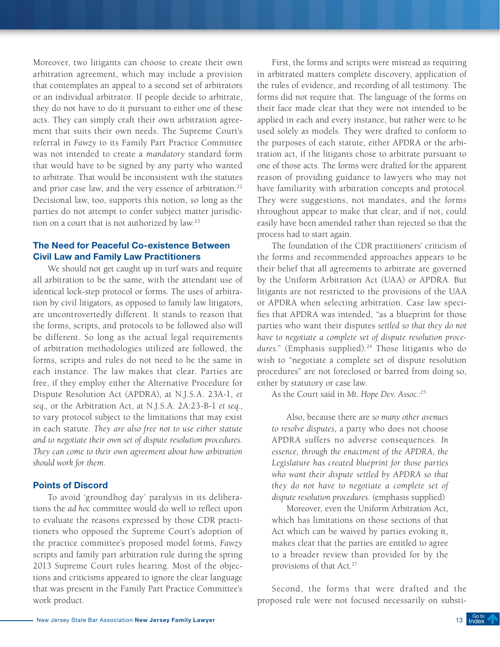Moreover, two litigants can choose to create their own arbitration agreement, which may include a provision that contemplates an appeal to a second set of arbitrators or an individual arbitrator. If people decide to arbitrate, they do not have to do it pursuant to either one of these acts. They can simply craft their own arbitration agreement that suits their own needs. The Supreme Court's referral in *Fawzy* to its Family Part Practice Committee was not intended to create a *mandatory* standard form that would have to be signed by any party who wanted to arbitrate. That would be inconsistent with the statutes and prior case law, and the very essence of arbitration.<sup>22</sup> Decisional law, too, supports this notion, so long as the parties do not attempt to confer subject matter jurisdiction on a court that is not authorized by law.23

# The Need for Peaceful Co-existence Between Civil Law and Family Law Practitioners

We should not get caught up in turf wars and require all arbitration to be the same, with the attendant use of identical lock-step protocol or forms. The uses of arbitration by civil litigators, as opposed to family law litigators, are uncontrovertedly different. It stands to reason that the forms, scripts, and protocols to be followed also will be different. So long as the actual legal requirements of arbitration methodologies utilized are followed, the forms, scripts and rules do not need to be the same in each instance. The law makes that clear. Parties are free, if they employ either the Alternative Procedure for Dispute Resolution Act (APDRA), at N.J.S.A. 23A-1, *et seq.,* or the Arbitration Act, at N.J.S.A. 2A:23-B-1 *et seq.*, to vary protocol subject to the limitations that may exist in each statute. *They are also free not to use either statute and to negotiate their own set of dispute resolution procedures. They can come to their own agreement about how arbitration should work for them*.

### Points of Discord

To avoid 'groundhog day' paralysis in its deliberations the *ad hoc* committee would do well to reflect upon to evaluate the reasons expressed by those CDR practitioners who opposed the Supreme Court's adoption of the practice committee's proposed model forms, *Fawzy* scripts and family part arbitration rule during the spring 2013 Supreme Court rules hearing. Most of the objections and criticisms appeared to ignore the clear language that was present in the Family Part Practice Committee's work product.

First, the forms and scripts were misread as requiring in arbitrated matters complete discovery, application of the rules of evidence, and recording of all testimony. The forms did not require that. The language of the forms on their face made clear that they were not intended to be applied in each and every instance, but rather were to be used solely as models. They were drafted to conform to the purposes of each statute, either APDRA or the arbitration act, if the litigants chose to arbitrate pursuant to one of those acts. The forms were drafted for the apparent reason of providing guidance to lawyers who may not have familiarity with arbitration concepts and protocol. They were suggestions, not mandates, and the forms throughout appear to make that clear, and if not, could easily have been amended rather than rejected so that the process had to start again.

The foundation of the CDR practitioners' criticism of the forms and recommended approaches appears to be their belief that all agreements to arbitrate are governed by the Uniform Arbitration Act (UAA) or APDRA. But litigants are not restricted to the provisions of the UAA or APDRA when selecting arbitration. Case law specifies that APDRA was intended, "as a blueprint for those parties who want their disputes *settled so that they do not have to negotiate a complete set of dispute resolution proce*dures." (Emphasis supplied).<sup>24</sup> Those litigants who do wish to "negotiate a complete set of dispute resolution procedures" are not foreclosed or barred from doing so, either by statutory or case law.

As the Court said in *Mt. Hope Dev. Assoc.*: 25

Also, because there are *so many other avenues to resolve disputes*, a party who does not choose APDRA suffers no adverse consequences. *In essence, through the enactment of the APDRA, the Legislature has created blueprint for those parties who want their dispute settled by APDRA so that they do not have to negotiate a complete set of dispute resolution procedures.* (emphasis supplied)

Moreover, even the Uniform Arbitration Act, which has limitations on those sections of that Act which can be waived by parties evoking it, makes clear that the parties are entitled to agree to a broader review than provided for by the provisions of that Act.<sup>27</sup>

Second, the forms that were drafted and the proposed rule were not focused necessarily on substi-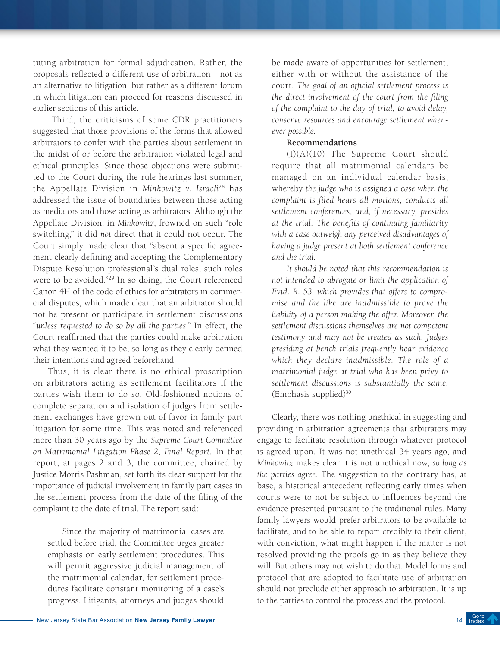tuting arbitration for formal adjudication. Rather, the proposals reflected a different use of arbitration—not as an alternative to litigation, but rather as a different forum in which litigation can proceed for reasons discussed in earlier sections of this article.

 Third, the criticisms of some CDR practitioners suggested that those provisions of the forms that allowed arbitrators to confer with the parties about settlement in the midst of or before the arbitration violated legal and ethical principles. Since those objections were submitted to the Court during the rule hearings last summer, the Appellate Division in *Minkowitz v. Israeli*28 has addressed the issue of boundaries between those acting as mediators and those acting as arbitrators. Although the Appellate Division, in *Minkowitz*, frowned on such "role switching," it did *not* direct that it could not occur. The Court simply made clear that "absent a specific agreement clearly defining and accepting the Complementary Dispute Resolution professional's dual roles, such roles were to be avoided."29 In so doing, the Court referenced Canon 4H of the code of ethics for arbitrators in commercial disputes, which made clear that an arbitrator should not be present or participate in settlement discussions "*unless requested to do so by all the parties*." In effect, the Court reaffirmed that the parties could make arbitration what they wanted it to be, so long as they clearly defined their intentions and agreed beforehand.

Thus, it is clear there is no ethical proscription on arbitrators acting as settlement facilitators if the parties wish them to do so. Old-fashioned notions of complete separation and isolation of judges from settlement exchanges have grown out of favor in family part litigation for some time. This was noted and referenced more than 30 years ago by the *Supreme Court Committee on Matrimonial Litigation Phase 2, Final Report*. In that report, at pages 2 and 3, the committee, chaired by Justice Morris Pashman, set forth its clear support for the importance of judicial involvement in family part cases in the settlement process from the date of the filing of the complaint to the date of trial. The report said:

Since the majority of matrimonial cases are settled before trial, the Committee urges greater emphasis on early settlement procedures. This will permit aggressive judicial management of the matrimonial calendar, for settlement procedures facilitate constant monitoring of a case's progress. Litigants, attorneys and judges should be made aware of opportunities for settlement, either with or without the assistance of the court. *The goal of an official settlement process is the direct involvement of the court from the filing of the complaint to the day of trial, to avoid delay, conserve resources and encourage settlement whenever possible.*

#### **Recommendations**

(I)(A)(10) The Supreme Court should require that all matrimonial calendars be managed on an individual calendar basis, whereby *the judge who is assigned a case when the complaint is filed hears all motions, conducts all settlement conferences, and, if necessary, presides at the trial. The benefits of continuing familiarity with a case outweigh any perceived disadvantages of having a judge present at both settlement conference and the trial.*

*It should be noted that this recommendation is not intended to abrogate or limit the application of Evid. R. 53. which provides that offers to compromise and the like are inadmissible to prove the liability of a person making the offer. Moreover, the settlement discussions themselves are not competent testimony and may not be treated as such. Judges presiding at bench trials frequently hear evidence which they declare inadmissible. The role of a matrimonial judge at trial who has been privy to settlement discussions is substantially the same.* (Emphasis supplied)30

Clearly, there was nothing unethical in suggesting and providing in arbitration agreements that arbitrators may engage to facilitate resolution through whatever protocol is agreed upon. It was not unethical 34 years ago, and *Minkowitz* makes clear it is not unethical now, *so long as the parties agree*. The suggestion to the contrary has, at base, a historical antecedent reflecting early times when courts were to not be subject to influences beyond the evidence presented pursuant to the traditional rules. Many family lawyers would prefer arbitrators to be available to facilitate, and to be able to report credibly to their client, with conviction, what might happen if the matter is not resolved providing the proofs go in as they believe they will. But others may not wish to do that. Model forms and protocol that are adopted to facilitate use of arbitration should not preclude either approach to arbitration. It is up to the parties to control the process and the protocol.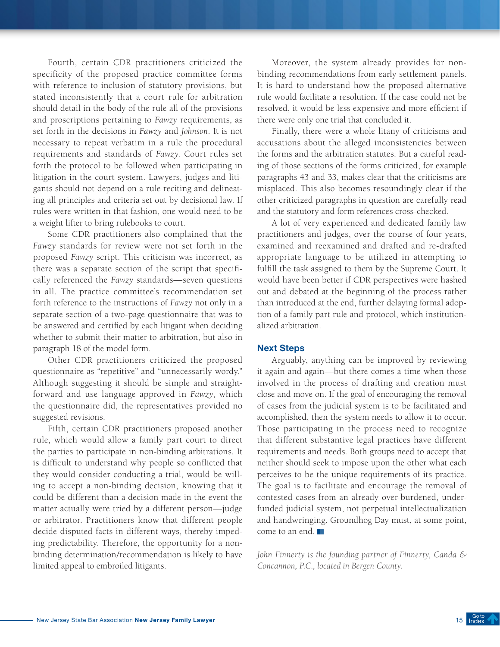Fourth, certain CDR practitioners criticized the specificity of the proposed practice committee forms with reference to inclusion of statutory provisions, but stated inconsistently that a court rule for arbitration should detail in the body of the rule all of the provisions and proscriptions pertaining to *Fawzy* requirements, as set forth in the decisions in *Fawzy* and *Johnson*. It is not necessary to repeat verbatim in a rule the procedural requirements and standards of *Fawzy*. Court rules set forth the protocol to be followed when participating in litigation in the court system. Lawyers, judges and litigants should not depend on a rule reciting and delineating all principles and criteria set out by decisional law. If rules were written in that fashion, one would need to be a weight lifter to bring rulebooks to court.

Some CDR practitioners also complained that the *Fawzy* standards for review were not set forth in the proposed *Fawzy* script. This criticism was incorrect, as there was a separate section of the script that specifically referenced the *Fawzy* standards—seven questions in all. The practice committee's recommendation set forth reference to the instructions of *Fawzy* not only in a separate section of a two-page questionnaire that was to be answered and certified by each litigant when deciding whether to submit their matter to arbitration, but also in paragraph 18 of the model form.

Other CDR practitioners criticized the proposed questionnaire as "repetitive" and "unnecessarily wordy." Although suggesting it should be simple and straightforward and use language approved in *Fawzy*, which the questionnaire did, the representatives provided no suggested revisions.

Fifth, certain CDR practitioners proposed another rule, which would allow a family part court to direct the parties to participate in non-binding arbitrations. It is difficult to understand why people so conflicted that they would consider conducting a trial, would be willing to accept a non-binding decision, knowing that it could be different than a decision made in the event the matter actually were tried by a different person—judge or arbitrator. Practitioners know that different people decide disputed facts in different ways, thereby impeding predictability. Therefore, the opportunity for a nonbinding determination/recommendation is likely to have limited appeal to embroiled litigants.

Moreover, the system already provides for nonbinding recommendations from early settlement panels. It is hard to understand how the proposed alternative rule would facilitate a resolution. If the case could not be resolved, it would be less expensive and more efficient if there were only one trial that concluded it.

Finally, there were a whole litany of criticisms and accusations about the alleged inconsistencies between the forms and the arbitration statutes. But a careful reading of those sections of the forms criticized, for example paragraphs 43 and 33, makes clear that the criticisms are misplaced. This also becomes resoundingly clear if the other criticized paragraphs in question are carefully read and the statutory and form references cross-checked.

A lot of very experienced and dedicated family law practitioners and judges, over the course of four years, examined and reexamined and drafted and re-drafted appropriate language to be utilized in attempting to fulfill the task assigned to them by the Supreme Court. It would have been better if CDR perspectives were hashed out and debated at the beginning of the process rather than introduced at the end, further delaying formal adoption of a family part rule and protocol, which institutionalized arbitration.

#### Next Steps

Arguably, anything can be improved by reviewing it again and again—but there comes a time when those involved in the process of drafting and creation must close and move on. If the goal of encouraging the removal of cases from the judicial system is to be facilitated and accomplished, then the system needs to allow it to occur. Those participating in the process need to recognize that different substantive legal practices have different requirements and needs. Both groups need to accept that neither should seek to impose upon the other what each perceives to be the unique requirements of its practice. The goal is to facilitate and encourage the removal of contested cases from an already over-burdened, underfunded judicial system, not perpetual intellectualization and handwringing. Groundhog Day must, at some point, come to an end.

*John Finnerty is the founding partner of Finnerty, Canda & Concannon, P.C., located in Bergen County.*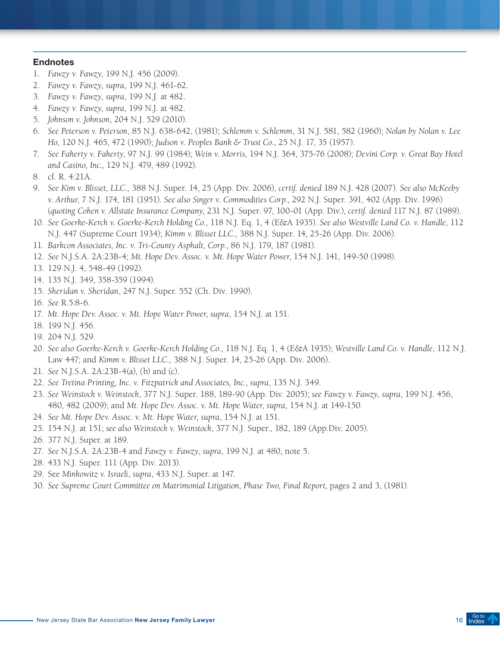- 1. *Fawzy v. Fawzy*, 199 N.J. 456 (2009).
- 2. *Fawzy v. Fawzy*, *supra*, 199 N.J. 461-62.
- 3. *Fawzy v. Fawzy*, *supra*, 199 N.J. at 482.
- 4. *Fawzy v. Fawzy*, *supra*, 199 N.J. at 482.
- 5. *Johnson v. Johnson*, 204 N.J. 529 (2010).
- 6. *See Peterson v. Peterson*, 85 N.J. 638-642, (1981); *Schlemm v. Schlemm*, 31 N.J. 581, 582 (1960); *Nolan by Nolan v. Lee Ho*, 120 N.J. 465, 472 (1990); *Judson v. Peoples Bank & Trust Co.*, 25 N.J. 17, 35 (1957).
- 7. *See Faherty v. Faherty*, 97 N.J. 99 (1984); *Wein v. Morris*, 194 N.J. 364, 375-76 (2008); *Devini Corp. v. Great Bay Hotel and Casino, Inc.,* 129 N.J. 479, 489 (1992).
- 8. cf. R. 4:21A.
- 9. *See Kim v. Blisset, LLC.,* 388 N.J. Super. 14, 25 (App. Div. 2006), *certif. denied* 189 N.J. 428 (2007). *See also McKeeby v. Arthur*, 7 N.J. 174, 181 (1951). *See also Singer v. Commodities Corp.,* 292 N.J. Super. 391, 402 (App. Div. 1996) (*quoting Cohen v. Allstate Insurance Company*, 231 N.J. Super. 97, 100-01 (App. Div.), *certif. denied* 117 N.J. 87 (1989).
- 10. *See Goerke-Kerch v. Goerke-Kerch Holding Co.*, 118 N.J. Eq. 1, 4 (E&A 1935). *See also Westville Land Co. v. Handle*, 112 N.J. 447 (Supreme Court 1934); *Kimm v. Blisset LLC.*, 388 N.J. Super. 14, 25-26 (App. Div. 2006).
- 11. *Barkcon Associates, Inc. v. Tri-County Asphalt, Corp.*, 86 N.J. 179, 187 (1981).
- 12. *See* N.J.S.A. 2A:23B-4; *Mt. Hope Dev. Assoc. v. Mt. Hope Water Power*, 154 N.J. 141, 149-50 (1998).
- 13. 129 N.J. 4, 548-49 (1992).
- 14. 135 N.J. 349, 358-359 (1994).
- 15. *Sheridan v. Sheridan*, 247 N.J. Super*.* 552 (Ch. Div. 1990).
- 16. *See* R.5:8-6.
- 17. *Mt. Hope Dev. Assoc. v. Mt. Hope Water Power*, *supra*, 154 N.J. at 151.
- 18. 199 N.J. 456.
- 19. 204 N.J. 529.
- 20. *See also Goerke-Kerch v. Goerke-Kerch Holding Co.*, 118 N.J. Eq. 1, 4 (E&A 1935); *Westville Land Co. v. Handle*, 112 N.J. Law 447; and *Kimm v. Blisset LLC.,* 388 N.J. Super. 14, 25-26 (App. Div. 2006).
- 21. *See* N.J.S.A. 2A:23B-4(a), (b) and (c).
- 22. *See Tretina Printing, Inc. v. Fitzpatrick and Associates, Inc.*, *supra*, 135 N.J. 349.
- 23. *See Weinstock v. Weinstock*, 377 N.J. Super. 188, 189-90 (App. Div. 2005); *see Fawzy v. Fawzy*, *supra*, 199 N.J. 456, 480, 482 (2009); and *Mt. Hope Dev. Assoc. v. Mt. Hope Water*, *supra*, 154 N.J. at 149-150.
- 24. *See Mt. Hope Dev. Assoc. v. Mt. Hope Water*, *supra*, 154 N.J. at 151.
- 25. 154 N.J. at 151; *see also Weinstock v. Weinstock*, 377 N.J. Super., 182, 189 (App.Div. 2005).
- 26. 377 N.J. Super. at 189.
- 27. *See* N.J.S.A. 2A:23B-4 and *Fawzy v. Fawzy*, *supra*, 199 N.J. at 480, note 5.
- 28. 433 N.J. Super. 111 (App. Div. 2013).
- 29. See *Minkowitz v. Israeli*, *supra*, 433 N.J. Super. at 147.
- 30. *See Supreme Court Committee on Matrimonial Litigation, Phase Two, Final Report,* pages 2 and 3, (1981).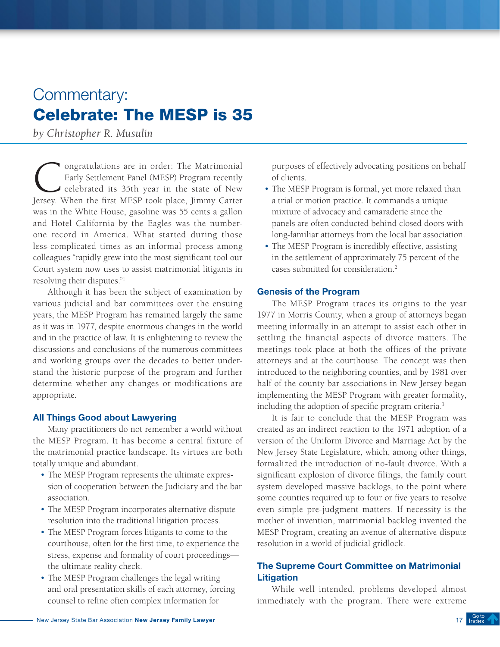# <span id="page-16-0"></span>Commentary: Celebrate: The MESP is 35

*by Christopher R. Musulin*

**Congratulations are in order:** The Matrimonial Early Settlement Panel (MESP) Program recently celebrated its 35th year in the state of New Jersey When the first MFSP took place Jimmy Carter Early Settlement Panel (MESP) Program recently celebrated its 35th year in the state of New Jersey. When the first MESP took place, Jimmy Carter was in the White House, gasoline was 55 cents a gallon and Hotel California by the Eagles was the numberone record in America. What started during those less-complicated times as an informal process among colleagues "rapidly grew into the most significant tool our Court system now uses to assist matrimonial litigants in resolving their disputes."1

Although it has been the subject of examination by various judicial and bar committees over the ensuing years, the MESP Program has remained largely the same as it was in 1977, despite enormous changes in the world and in the practice of law. It is enlightening to review the discussions and conclusions of the numerous committees and working groups over the decades to better understand the historic purpose of the program and further determine whether any changes or modifications are appropriate.

### All Things Good about Lawyering

Many practitioners do not remember a world without the MESP Program. It has become a central fixture of the matrimonial practice landscape. Its virtues are both totally unique and abundant.

- The MESP Program represents the ultimate expression of cooperation between the Judiciary and the bar association.
- The MESP Program incorporates alternative dispute resolution into the traditional litigation process.
- The MESP Program forces litigants to come to the courthouse, often for the first time, to experience the stress, expense and formality of court proceedings the ultimate reality check.
- The MESP Program challenges the legal writing and oral presentation skills of each attorney, forcing counsel to refine often complex information for

purposes of effectively advocating positions on behalf of clients.

- The MESP Program is formal, yet more relaxed than a trial or motion practice. It commands a unique mixture of advocacy and camaraderie since the panels are often conducted behind closed doors with long-familiar attorneys from the local bar association.
- The MESP Program is incredibly effective, assisting in the settlement of approximately 75 percent of the cases submitted for consideration.2

#### Genesis of the Program

The MESP Program traces its origins to the year 1977 in Morris County, when a group of attorneys began meeting informally in an attempt to assist each other in settling the financial aspects of divorce matters. The meetings took place at both the offices of the private attorneys and at the courthouse. The concept was then introduced to the neighboring counties, and by 1981 over half of the county bar associations in New Jersey began implementing the MESP Program with greater formality, including the adoption of specific program criteria.3

It is fair to conclude that the MESP Program was created as an indirect reaction to the 1971 adoption of a version of the Uniform Divorce and Marriage Act by the New Jersey State Legislature, which, among other things, formalized the introduction of no-fault divorce. With a significant explosion of divorce filings, the family court system developed massive backlogs, to the point where some counties required up to four or five years to resolve even simple pre-judgment matters. If necessity is the mother of invention, matrimonial backlog invented the MESP Program, creating an avenue of alternative dispute resolution in a world of judicial gridlock.

# The Supreme Court Committee on Matrimonial **Litigation**

While well intended, problems developed almost immediately with the program. There were extreme

[Index](#page-3-0)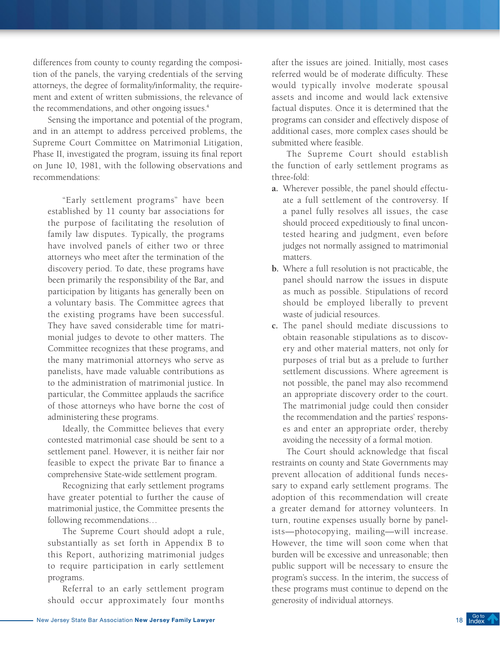differences from county to county regarding the composition of the panels, the varying credentials of the serving attorneys, the degree of formality/informality, the requirement and extent of written submissions, the relevance of the recommendations, and other ongoing issues.<sup>4</sup>

Sensing the importance and potential of the program, and in an attempt to address perceived problems, the Supreme Court Committee on Matrimonial Litigation, Phase II, investigated the program, issuing its final report on June 10, 1981, with the following observations and recommendations:

"Early settlement programs" have been established by 11 county bar associations for the purpose of facilitating the resolution of family law disputes. Typically, the programs have involved panels of either two or three attorneys who meet after the termination of the discovery period. To date, these programs have been primarily the responsibility of the Bar, and participation by litigants has generally been on a voluntary basis. The Committee agrees that the existing programs have been successful. They have saved considerable time for matrimonial judges to devote to other matters. The Committee recognizes that these programs, and the many matrimonial attorneys who serve as panelists, have made valuable contributions as to the administration of matrimonial justice. In particular, the Committee applauds the sacrifice of those attorneys who have borne the cost of administering these programs.

Ideally, the Committee believes that every contested matrimonial case should be sent to a settlement panel. However, it is neither fair nor feasible to expect the private Bar to finance a comprehensive State-wide settlement program.

Recognizing that early settlement programs have greater potential to further the cause of matrimonial justice, the Committee presents the following recommendations…

The Supreme Court should adopt a rule, substantially as set forth in Appendix B to this Report, authorizing matrimonial judges to require participation in early settlement programs.

Referral to an early settlement program should occur approximately four months after the issues are joined. Initially, most cases referred would be of moderate difficulty. These would typically involve moderate spousal assets and income and would lack extensive factual disputes. Once it is determined that the programs can consider and effectively dispose of additional cases, more complex cases should be submitted where feasible.

The Supreme Court should establish the function of early settlement programs as three-fold:

- **a.** Wherever possible, the panel should effectuate a full settlement of the controversy. If a panel fully resolves all issues, the case should proceed expeditiously to final uncontested hearing and judgment, even before judges not normally assigned to matrimonial matters.
- **b.** Where a full resolution is not practicable, the panel should narrow the issues in dispute as much as possible. Stipulations of record should be employed liberally to prevent waste of judicial resources.
- **c.** The panel should mediate discussions to obtain reasonable stipulations as to discovery and other material matters, not only for purposes of trial but as a prelude to further settlement discussions. Where agreement is not possible, the panel may also recommend an appropriate discovery order to the court. The matrimonial judge could then consider the recommendation and the parties' responses and enter an appropriate order, thereby avoiding the necessity of a formal motion.

The Court should acknowledge that fiscal restraints on county and State Governments may prevent allocation of additional funds necessary to expand early settlement programs. The adoption of this recommendation will create a greater demand for attorney volunteers. In turn, routine expenses usually borne by panelists—photocopying, mailing—will increase. However, the time will soon come when that burden will be excessive and unreasonable; then public support will be necessary to ensure the program's success. In the interim, the success of these programs must continue to depend on the generosity of individual attorneys.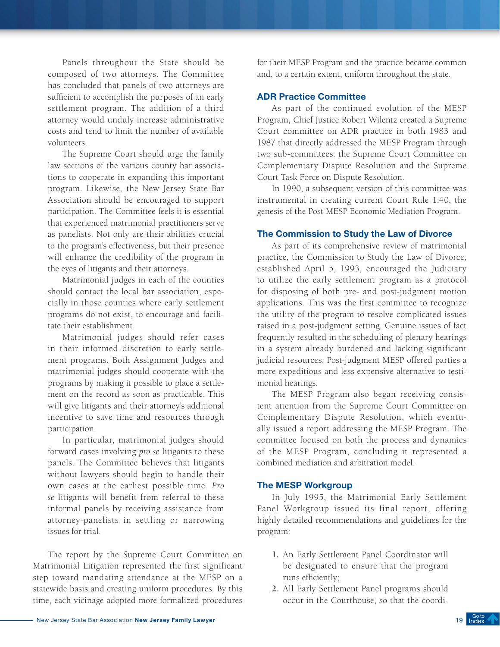Panels throughout the State should be composed of two attorneys. The Committee has concluded that panels of two attorneys are sufficient to accomplish the purposes of an early settlement program. The addition of a third attorney would unduly increase administrative costs and tend to limit the number of available volunteers.

The Supreme Court should urge the family law sections of the various county bar associations to cooperate in expanding this important program. Likewise, the New Jersey State Bar Association should be encouraged to support participation. The Committee feels it is essential that experienced matrimonial practitioners serve as panelists. Not only are their abilities crucial to the program's effectiveness, but their presence will enhance the credibility of the program in the eyes of litigants and their attorneys.

Matrimonial judges in each of the counties should contact the local bar association, especially in those counties where early settlement programs do not exist, to encourage and facilitate their establishment.

Matrimonial judges should refer cases in their informed discretion to early settlement programs. Both Assignment Judges and matrimonial judges should cooperate with the programs by making it possible to place a settlement on the record as soon as practicable. This will give litigants and their attorney's additional incentive to save time and resources through participation.

In particular, matrimonial judges should forward cases involving *pro se* litigants to these panels. The Committee believes that litigants without lawyers should begin to handle their own cases at the earliest possible time. *Pro se* litigants will benefit from referral to these informal panels by receiving assistance from attorney-panelists in settling or narrowing issues for trial.

The report by the Supreme Court Committee on Matrimonial Litigation represented the first significant step toward mandating attendance at the MESP on a statewide basis and creating uniform procedures. By this time, each vicinage adopted more formalized procedures

for their MESP Program and the practice became common and, to a certain extent, uniform throughout the state.

#### ADR Practice Committee

As part of the continued evolution of the MESP Program, Chief Justice Robert Wilentz created a Supreme Court committee on ADR practice in both 1983 and 1987 that directly addressed the MESP Program through two sub-committees: the Supreme Court Committee on Complementary Dispute Resolution and the Supreme Court Task Force on Dispute Resolution.

In 1990, a subsequent version of this committee was instrumental in creating current Court Rule 1:40, the genesis of the Post-MESP Economic Mediation Program.

#### The Commission to Study the Law of Divorce

As part of its comprehensive review of matrimonial practice, the Commission to Study the Law of Divorce, established April 5, 1993, encouraged the Judiciary to utilize the early settlement program as a protocol for disposing of both pre- and post-judgment motion applications. This was the first committee to recognize the utility of the program to resolve complicated issues raised in a post-judgment setting. Genuine issues of fact frequently resulted in the scheduling of plenary hearings in a system already burdened and lacking significant judicial resources. Post-judgment MESP offered parties a more expeditious and less expensive alternative to testimonial hearings.

The MESP Program also began receiving consistent attention from the Supreme Court Committee on Complementary Dispute Resolution, which eventually issued a report addressing the MESP Program. The committee focused on both the process and dynamics of the MESP Program, concluding it represented a combined mediation and arbitration model.

### The MESP Workgroup

In July 1995, the Matrimonial Early Settlement Panel Workgroup issued its final report, offering highly detailed recommendations and guidelines for the program:

- **1.** An Early Settlement Panel Coordinator will be designated to ensure that the program runs efficiently;
- **2.** All Early Settlement Panel programs should occur in the Courthouse, so that the coordi-

Go to<br>[Index](#page-3-0)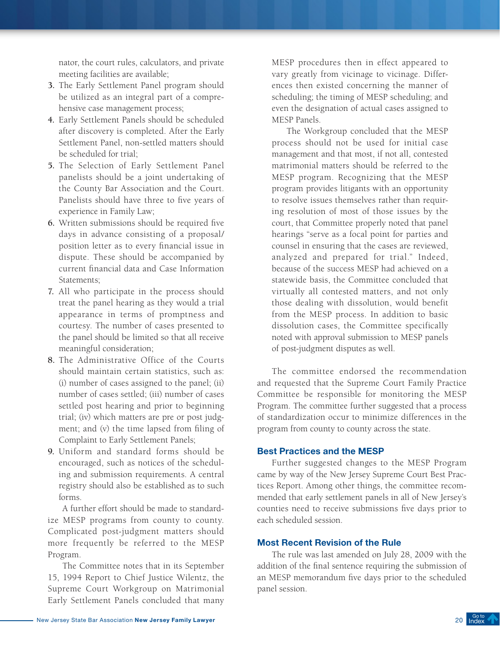nator, the court rules, calculators, and private meeting facilities are available;

- **3.** The Early Settlement Panel program should be utilized as an integral part of a comprehensive case management process;
- **4.** Early Settlement Panels should be scheduled after discovery is completed. After the Early Settlement Panel, non-settled matters should be scheduled for trial;
- **5.** The Selection of Early Settlement Panel panelists should be a joint undertaking of the County Bar Association and the Court. Panelists should have three to five years of experience in Family Law;
- **6.** Written submissions should be required five days in advance consisting of a proposal/ position letter as to every financial issue in dispute. These should be accompanied by current financial data and Case Information Statements;
- **7.** All who participate in the process should treat the panel hearing as they would a trial appearance in terms of promptness and courtesy. The number of cases presented to the panel should be limited so that all receive meaningful consideration;
- **8.** The Administrative Office of the Courts should maintain certain statistics, such as: (i) number of cases assigned to the panel; (ii) number of cases settled; (iii) number of cases settled post hearing and prior to beginning trial; (iv) which matters are pre or post judgment; and (v) the time lapsed from filing of Complaint to Early Settlement Panels;
- **9.** Uniform and standard forms should be encouraged, such as notices of the scheduling and submission requirements. A central registry should also be established as to such forms.

A further effort should be made to standardize MESP programs from county to county. Complicated post-judgment matters should more frequently be referred to the MESP Program.

The Committee notes that in its September 15, 1994 Report to Chief Justice Wilentz, the Supreme Court Workgroup on Matrimonial Early Settlement Panels concluded that many

MESP procedures then in effect appeared to vary greatly from vicinage to vicinage. Differences then existed concerning the manner of scheduling; the timing of MESP scheduling; and even the designation of actual cases assigned to MESP Panels.

The Workgroup concluded that the MESP process should not be used for initial case management and that most, if not all, contested matrimonial matters should be referred to the MESP program. Recognizing that the MESP program provides litigants with an opportunity to resolve issues themselves rather than requiring resolution of most of those issues by the court, that Committee properly noted that panel hearings "serve as a focal point for parties and counsel in ensuring that the cases are reviewed, analyzed and prepared for trial." Indeed, because of the success MESP had achieved on a statewide basis, the Committee concluded that virtually all contested matters, and not only those dealing with dissolution, would benefit from the MESP process. In addition to basic dissolution cases, the Committee specifically noted with approval submission to MESP panels of post-judgment disputes as well.

The committee endorsed the recommendation and requested that the Supreme Court Family Practice Committee be responsible for monitoring the MESP Program. The committee further suggested that a process of standardization occur to minimize differences in the program from county to county across the state.

### Best Practices and the MESP

Further suggested changes to the MESP Program came by way of the New Jersey Supreme Court Best Practices Report. Among other things, the committee recommended that early settlement panels in all of New Jersey's counties need to receive submissions five days prior to each scheduled session.

### Most Recent Revision of the Rule

The rule was last amended on July 28, 2009 with the addition of the final sentence requiring the submission of an MESP memorandum five days prior to the scheduled panel session.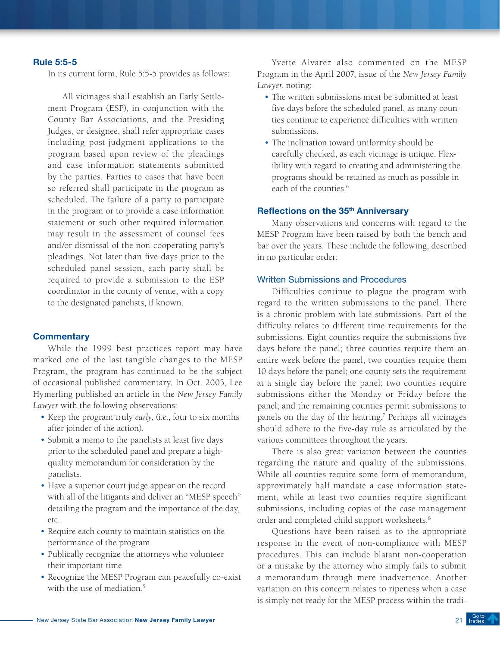#### Rule 5:5-5

In its current form, Rule 5:5-5 provides as follows:

All vicinages shall establish an Early Settlement Program (ESP), in conjunction with the County Bar Associations, and the Presiding Judges, or designee, shall refer appropriate cases including post-judgment applications to the program based upon review of the pleadings and case information statements submitted by the parties. Parties to cases that have been so referred shall participate in the program as scheduled. The failure of a party to participate in the program or to provide a case information statement or such other required information may result in the assessment of counsel fees and/or dismissal of the non-cooperating party's pleadings. Not later than five days prior to the scheduled panel session, each party shall be required to provide a submission to the ESP coordinator in the county of venue, with a copy to the designated panelists, if known.

#### **Commentary**

While the 1999 best practices report may have marked one of the last tangible changes to the MESP Program, the program has continued to be the subject of occasional published commentary. In Oct. 2003, Lee Hymerling published an article in the *New Jersey Family Lawyer* with the following observations:

- • Keep the program truly *early*, (*i.e*., four to six months after joinder of the action).
- • Submit a memo to the panelists at least five days prior to the scheduled panel and prepare a highquality memorandum for consideration by the panelists.
- Have a superior court judge appear on the record with all of the litigants and deliver an "MESP speech" detailing the program and the importance of the day, etc.
- • Require each county to maintain statistics on the performance of the program.
- Publically recognize the attorneys who volunteer their important time.
- Recognize the MESP Program can peacefully co-exist with the use of mediation.<sup>5</sup>

Yvette Alvarez also commented on the MESP Program in the April 2007, issue of the *New Jersey Family Lawyer*, noting:

- The written submissions must be submitted at least five days before the scheduled panel, as many counties continue to experience difficulties with written submissions.
- The inclination toward uniformity should be carefully checked, as each vicinage is unique. Flexibility with regard to creating and administering the programs should be retained as much as possible in each of the counties. $6$

### Reflections on the 35<sup>th</sup> Anniversary

Many observations and concerns with regard to the MESP Program have been raised by both the bench and bar over the years. These include the following, described in no particular order:

#### Written Submissions and Procedures

Difficulties continue to plague the program with regard to the written submissions to the panel. There is a chronic problem with late submissions. Part of the difficulty relates to different time requirements for the submissions. Eight counties require the submissions five days before the panel; three counties require them an entire week before the panel; two counties require them 10 days before the panel; one county sets the requirement at a single day before the panel; two counties require submissions either the Monday or Friday before the panel; and the remaining counties permit submissions to panels on the day of the hearing.<sup>7</sup> Perhaps all vicinages should adhere to the five-day rule as articulated by the various committees throughout the years.

There is also great variation between the counties regarding the nature and quality of the submissions. While all counties require some form of memorandum, approximately half mandate a case information statement, while at least two counties require significant submissions, including copies of the case management order and completed child support worksheets.8

Questions have been raised as to the appropriate response in the event of non-compliance with MESP procedures. This can include blatant non-cooperation or a mistake by the attorney who simply fails to submit a memorandum through mere inadvertence. Another variation on this concern relates to ripeness when a case is simply not ready for the MESP process within the tradi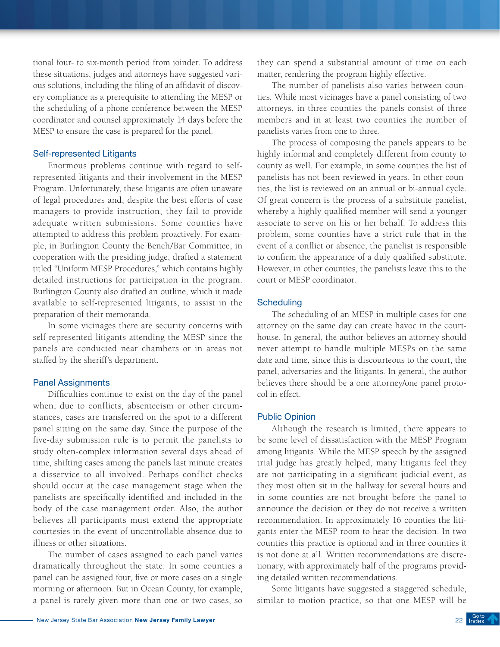tional four- to six-month period from joinder. To address these situations, judges and attorneys have suggested various solutions, including the filing of an affidavit of discovery compliance as a prerequisite to attending the MESP or the scheduling of a phone conference between the MESP coordinator and counsel approximately 14 days before the MESP to ensure the case is prepared for the panel.

#### Self-represented Litigants

Enormous problems continue with regard to selfrepresented litigants and their involvement in the MESP Program. Unfortunately, these litigants are often unaware of legal procedures and, despite the best efforts of case managers to provide instruction, they fail to provide adequate written submissions. Some counties have attempted to address this problem proactively. For example, in Burlington County the Bench/Bar Committee, in cooperation with the presiding judge, drafted a statement titled "Uniform MESP Procedures," which contains highly detailed instructions for participation in the program. Burlington County also drafted an outline, which it made available to self-represented litigants, to assist in the preparation of their memoranda.

In some vicinages there are security concerns with self-represented litigants attending the MESP since the panels are conducted near chambers or in areas not staffed by the sheriff's department.

#### Panel Assignments

Difficulties continue to exist on the day of the panel when, due to conflicts, absenteeism or other circumstances, cases are transferred on the spot to a different panel sitting on the same day. Since the purpose of the five-day submission rule is to permit the panelists to study often-complex information several days ahead of time, shifting cases among the panels last minute creates a disservice to all involved. Perhaps conflict checks should occur at the case management stage when the panelists are specifically identified and included in the body of the case management order. Also, the author believes all participants must extend the appropriate courtesies in the event of uncontrollable absence due to illness or other situations.

The number of cases assigned to each panel varies dramatically throughout the state. In some counties a panel can be assigned four, five or more cases on a single morning or afternoon. But in Ocean County, for example, a panel is rarely given more than one or two cases, so they can spend a substantial amount of time on each matter, rendering the program highly effective.

The number of panelists also varies between counties. While most vicinages have a panel consisting of two attorneys, in three counties the panels consist of three members and in at least two counties the number of panelists varies from one to three.

The process of composing the panels appears to be highly informal and completely different from county to county as well. For example, in some counties the list of panelists has not been reviewed in years. In other counties, the list is reviewed on an annual or bi-annual cycle. Of great concern is the process of a substitute panelist, whereby a highly qualified member will send a younger associate to serve on his or her behalf. To address this problem, some counties have a strict rule that in the event of a conflict or absence, the panelist is responsible to confirm the appearance of a duly qualified substitute. However, in other counties, the panelists leave this to the court or MESP coordinator.

#### **Scheduling**

The scheduling of an MESP in multiple cases for one attorney on the same day can create havoc in the courthouse. In general, the author believes an attorney should never attempt to handle multiple MESPs on the same date and time, since this is discourteous to the court, the panel, adversaries and the litigants. In general, the author believes there should be a one attorney/one panel protocol in effect.

#### Public Opinion

Although the research is limited, there appears to be some level of dissatisfaction with the MESP Program among litigants. While the MESP speech by the assigned trial judge has greatly helped, many litigants feel they are not participating in a significant judicial event, as they most often sit in the hallway for several hours and in some counties are not brought before the panel to announce the decision or they do not receive a written recommendation. In approximately 16 counties the litigants enter the MESP room to hear the decision. In two counties this practice is optional and in three counties it is not done at all. Written recommendations are discretionary, with approximately half of the programs providing detailed written recommendations.

Some litigants have suggested a staggered schedule, similar to motion practice, so that one MESP will be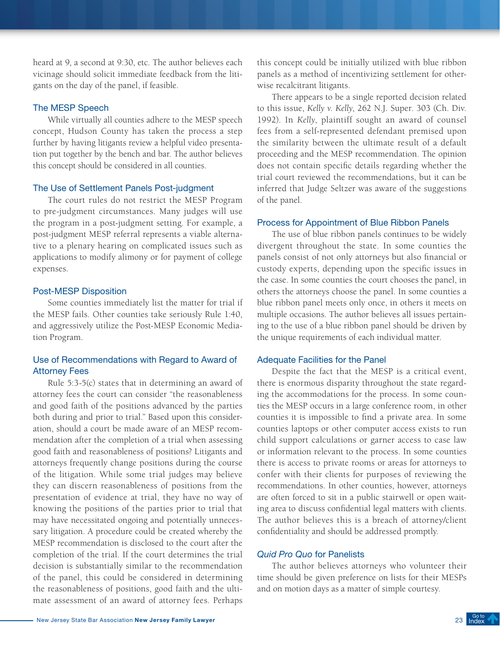heard at 9, a second at 9:30, etc. The author believes each vicinage should solicit immediate feedback from the litigants on the day of the panel, if feasible.

#### The MESP Speech

While virtually all counties adhere to the MESP speech concept, Hudson County has taken the process a step further by having litigants review a helpful video presentation put together by the bench and bar. The author believes this concept should be considered in all counties.

### The Use of Settlement Panels Post-judgment

The court rules do not restrict the MESP Program to pre-judgment circumstances. Many judges will use the program in a post-judgment setting. For example, a post-judgment MESP referral represents a viable alternative to a plenary hearing on complicated issues such as applications to modify alimony or for payment of college expenses.

#### Post-MESP Disposition

Some counties immediately list the matter for trial if the MESP fails. Other counties take seriously Rule 1:40, and aggressively utilize the Post-MESP Economic Mediation Program.

# Use of Recommendations with Regard to Award of Attorney Fees

Rule 5:3-5(c) states that in determining an award of attorney fees the court can consider "the reasonableness and good faith of the positions advanced by the parties both during and prior to trial." Based upon this consideration, should a court be made aware of an MESP recommendation after the completion of a trial when assessing good faith and reasonableness of positions? Litigants and attorneys frequently change positions during the course of the litigation. While some trial judges may believe they can discern reasonableness of positions from the presentation of evidence at trial, they have no way of knowing the positions of the parties prior to trial that may have necessitated ongoing and potentially unnecessary litigation. A procedure could be created whereby the MESP recommendation is disclosed to the court after the completion of the trial. If the court determines the trial decision is substantially similar to the recommendation of the panel, this could be considered in determining the reasonableness of positions, good faith and the ultimate assessment of an award of attorney fees. Perhaps

this concept could be initially utilized with blue ribbon panels as a method of incentivizing settlement for otherwise recalcitrant litigants.

There appears to be a single reported decision related to this issue, *Kelly v. Kelly*, 262 N.J. Super. 303 (Ch. Div. 1992). In *Kelly*, plaintiff sought an award of counsel fees from a self-represented defendant premised upon the similarity between the ultimate result of a default proceeding and the MESP recommendation. The opinion does not contain specific details regarding whether the trial court reviewed the recommendations, but it can be inferred that Judge Seltzer was aware of the suggestions of the panel.

#### Process for Appointment of Blue Ribbon Panels

The use of blue ribbon panels continues to be widely divergent throughout the state. In some counties the panels consist of not only attorneys but also financial or custody experts, depending upon the specific issues in the case. In some counties the court chooses the panel, in others the attorneys choose the panel. In some counties a blue ribbon panel meets only once, in others it meets on multiple occasions. The author believes all issues pertaining to the use of a blue ribbon panel should be driven by the unique requirements of each individual matter.

#### Adequate Facilities for the Panel

Despite the fact that the MESP is a critical event, there is enormous disparity throughout the state regarding the accommodations for the process. In some counties the MESP occurs in a large conference room, in other counties it is impossible to find a private area. In some counties laptops or other computer access exists to run child support calculations or garner access to case law or information relevant to the process. In some counties there is access to private rooms or areas for attorneys to confer with their clients for purposes of reviewing the recommendations. In other counties, however, attorneys are often forced to sit in a public stairwell or open waiting area to discuss confidential legal matters with clients. The author believes this is a breach of attorney/client confidentiality and should be addressed promptly.

#### *Quid Pro Quo* for Panelists

The author believes attorneys who volunteer their time should be given preference on lists for their MESPs and on motion days as a matter of simple courtesy.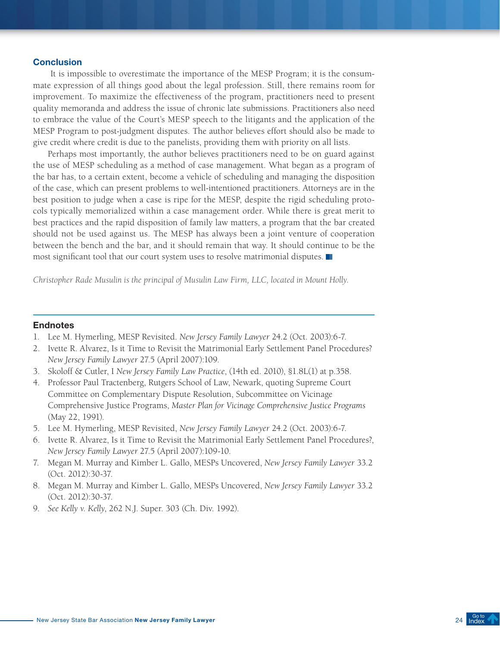#### **Conclusion**

 It is impossible to overestimate the importance of the MESP Program; it is the consummate expression of all things good about the legal profession. Still, there remains room for improvement. To maximize the effectiveness of the program, practitioners need to present quality memoranda and address the issue of chronic late submissions. Practitioners also need to embrace the value of the Court's MESP speech to the litigants and the application of the MESP Program to post-judgment disputes. The author believes effort should also be made to give credit where credit is due to the panelists, providing them with priority on all lists.

Perhaps most importantly, the author believes practitioners need to be on guard against the use of MESP scheduling as a method of case management. What began as a program of the bar has, to a certain extent, become a vehicle of scheduling and managing the disposition of the case, which can present problems to well-intentioned practitioners. Attorneys are in the best position to judge when a case is ripe for the MESP, despite the rigid scheduling protocols typically memorialized within a case management order. While there is great merit to best practices and the rapid disposition of family law matters, a program that the bar created should not be used against us. The MESP has always been a joint venture of cooperation between the bench and the bar, and it should remain that way. It should continue to be the most significant tool that our court system uses to resolve matrimonial disputes.

*Christopher Rade Musulin is the principal of Musulin Law Firm, LLC, located in Mount Holly.*

- 1. Lee M. Hymerling, MESP Revisited. *New Jersey Family Lawyer* 24.2 (Oct. 2003):6-7.
- 2. Ivette R. Alvarez, Is it Time to Revisit the Matrimonial Early Settlement Panel Procedures? *New Jersey Family Lawyer* 27.5 (April 2007):109.
- 3. Skoloff & Cutler, I *New Jersey Family Law Practice*, (14th ed. 2010), §1.8L(1) at p.358.
- 4. Professor Paul Tractenberg, Rutgers School of Law, Newark, quoting Supreme Court Committee on Complementary Dispute Resolution, Subcommittee on Vicinage Comprehensive Justice Programs, *Master Plan for Vicinage Comprehensive Justice Programs*  (May 22, 1991).
- 5. Lee M. Hymerling, MESP Revisited, *New Jersey Family Lawyer* 24.2 (Oct. 2003):6-7.
- 6. Ivette R. Alvarez, Is it Time to Revisit the Matrimonial Early Settlement Panel Procedures?, *New Jersey Family Lawyer* 27.5 (April 2007):109-10.
- 7. Megan M. Murray and Kimber L. Gallo, MESPs Uncovered, *New Jersey Family Lawyer* 33.2 (Oct. 2012):30-37.
- 8. Megan M. Murray and Kimber L. Gallo, MESPs Uncovered, *New Jersey Family Lawyer* 33.2 (Oct. 2012):30-37.
- 9. *See Kelly v. Kelly*, 262 N.J. Super. 303 (Ch. Div. 1992).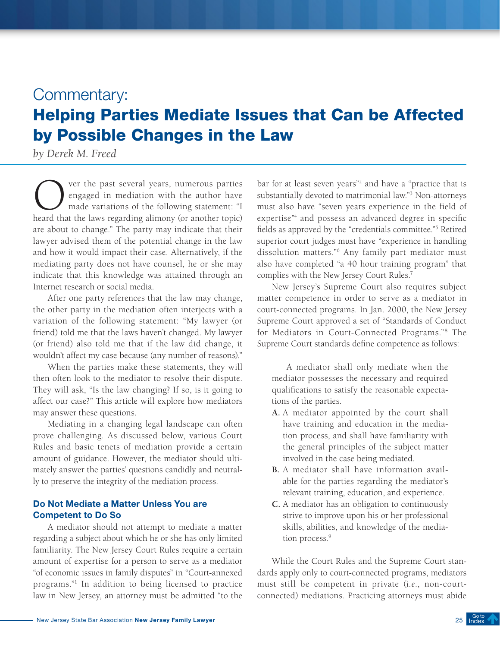# <span id="page-24-0"></span>Commentary:

# Helping Parties Mediate Issues that Can be Affected by Possible Changes in the Law

*by Derek M. Freed*

Over the past several years, numerous parties<br>engaged in mediation with the author have<br>made variations of the following statement: "I<br>heard that the laws regarding alimony (or another topic) engaged in mediation with the author have made variations of the following statement: "I heard that the laws regarding alimony (or another topic) are about to change." The party may indicate that their lawyer advised them of the potential change in the law and how it would impact their case. Alternatively, if the mediating party does not have counsel, he or she may indicate that this knowledge was attained through an Internet research or social media.

After one party references that the law may change, the other party in the mediation often interjects with a variation of the following statement: "My lawyer (or friend) told me that the laws haven't changed. My lawyer (or friend) also told me that if the law did change, it wouldn't affect my case because (any number of reasons)."

When the parties make these statements, they will then often look to the mediator to resolve their dispute. They will ask, "Is the law changing? If so, is it going to affect our case?" This article will explore how mediators may answer these questions.

Mediating in a changing legal landscape can often prove challenging. As discussed below, various Court Rules and basic tenets of mediation provide a certain amount of guidance. However, the mediator should ultimately answer the parties' questions candidly and neutrally to preserve the integrity of the mediation process.

# Do Not Mediate a Matter Unless You are Competent to Do So

A mediator should not attempt to mediate a matter regarding a subject about which he or she has only limited familiarity. The New Jersey Court Rules require a certain amount of expertise for a person to serve as a mediator "of economic issues in family disputes" in "Court-annexed programs."1 In addition to being licensed to practice law in New Jersey, an attorney must be admitted "to the

bar for at least seven years"<sup>2</sup> and have a "practice that is substantially devoted to matrimonial law."3 Non-attorneys must also have "seven years experience in the field of expertise"4 and possess an advanced degree in specific fields as approved by the "credentials committee."5 Retired superior court judges must have "experience in handling dissolution matters."6 Any family part mediator must also have completed "a 40 hour training program" that complies with the New Jersey Court Rules.7

New Jersey's Supreme Court also requires subject matter competence in order to serve as a mediator in court-connected programs. In Jan. 2000, the New Jersey Supreme Court approved a set of "Standards of Conduct for Mediators in Court-Connected Programs."8 The Supreme Court standards define competence as follows:

A mediator shall only mediate when the mediator possesses the necessary and required qualifications to satisfy the reasonable expectations of the parties.

- **A.** A mediator appointed by the court shall have training and education in the mediation process, and shall have familiarity with the general principles of the subject matter involved in the case being mediated.
- **B.** A mediator shall have information available for the parties regarding the mediator's relevant training, education, and experience.
- **C.** A mediator has an obligation to continuously strive to improve upon his or her professional skills, abilities, and knowledge of the mediation process.<sup>9</sup>

While the Court Rules and the Supreme Court standards apply only to court-connected programs, mediators must still be competent in private (*i.e*., non-courtconnected) mediations. Practicing attorneys must abide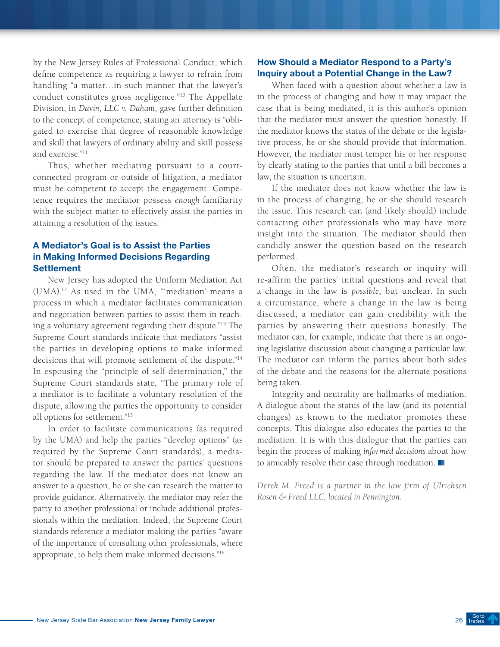by the New Jersey Rules of Professional Conduct, which define competence as requiring a lawyer to refrain from handling "a matter…in such manner that the lawyer's conduct constitutes gross negligence."10 The Appellate Division, in *Davin, LLC v. Daham,* gave further definition to the concept of competence, stating an attorney is "obligated to exercise that degree of reasonable knowledge and skill that lawyers of ordinary ability and skill possess and exercise."11

Thus, whether mediating pursuant to a courtconnected program or outside of litigation, a mediator must be competent to accept the engagement. Competence requires the mediator possess *enough* familiarity with the subject matter to effectively assist the parties in attaining a resolution of the issues.

# A Mediator's Goal is to Assist the Parties in Making Informed Decisions Regarding **Settlement**

New Jersey has adopted the Uniform Mediation Act (UMA).12 As used in the UMA, "'mediation' means a process in which a mediator facilitates communication and negotiation between parties to assist them in reaching a voluntary agreement regarding their dispute."13 The Supreme Court standards indicate that mediators "assist the parties in developing options to make informed decisions that will promote settlement of the dispute."14 In espousing the "principle of self-determination," the Supreme Court standards state, "The primary role of a mediator is to facilitate a voluntary resolution of the dispute, allowing the parties the opportunity to consider all options for settlement."15

In order to facilitate communications (as required by the UMA) and help the parties "develop options" (as required by the Supreme Court standards), a mediator should be prepared to answer the parties' questions regarding the law. If the mediator does not know an answer to a question, he or she can research the matter to provide guidance. Alternatively, the mediator may refer the party to another professional or include additional professionals within the mediation. Indeed, the Supreme Court standards reference a mediator making the parties "aware of the importance of consulting other professionals, where appropriate, to help them make informed decisions."16

# How Should a Mediator Respond to a Party's Inquiry about a Potential Change in the Law?

When faced with a question about whether a law is in the process of changing and how it may impact the case that is being mediated, it is this author's opinion that the mediator must answer the question honestly. If the mediator knows the status of the debate or the legislative process, he or she should provide that information. However, the mediator must temper his or her response by clearly stating to the parties that until a bill becomes a law, the situation is uncertain.

If the mediator does not know whether the law is in the process of changing, he or she should research the issue. This research can (and likely should) include contacting other professionals who may have more insight into the situation. The mediator should then candidly answer the question based on the research performed.

Often, the mediator's research or inquiry will re-affirm the parties' initial questions and reveal that a change in the law is *possible*, but unclear. In such a circumstance, where a change in the law is being discussed, a mediator can gain credibility with the parties by answering their questions honestly. The mediator can, for example, indicate that there is an ongoing legislative discussion about changing a particular law. The mediator can inform the parties about both sides of the debate and the reasons for the alternate positions being taken.

Integrity and neutrality are hallmarks of mediation. A dialogue about the status of the law (and its potential changes) as known to the mediator promotes these concepts. This dialogue also educates the parties to the mediation. It is with this dialogue that the parties can begin the process of making *informed decisions* about how to amicably resolve their case through mediation.

*Derek M. Freed is a partner in the law firm of Ulrichsen Rosen & Freed LLC, located in Pennington.*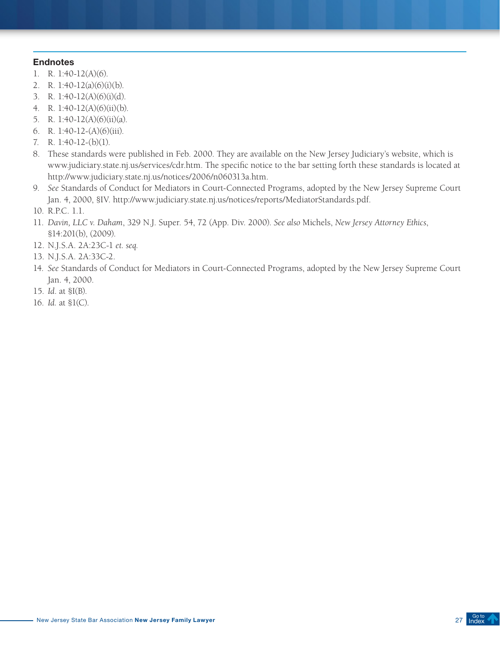- 1. R. 1:40-12(A)(6).
- 2. R. 1:40-12(a)(6)(i)(b).
- 3. R. 1:40-12(A)(6)(i)(d).
- 4. R. 1:40-12(A)(6)(ii)(b).
- 5. R. 1:40-12(A)(6)(ii)(a).
- 6. R. 1:40-12-(A)(6)(iii).
- 7. R. 1:40-12-(b)(1).
- 8. These standards were published in Feb. 2000. They are available on the New Jersey Judiciary's website, which is [www.judiciary.state.nj.us/services/cdr.htm.](http://www.judiciary.state.nj.us/services/cdr.htm) The specific notice to the bar setting forth these standards is located at <http://www.judiciary.state.nj.us/notices/2006/n060313a.htm>.
- 9. *See* Standards of Conduct for Mediators in Court-Connected Programs, adopted by the New Jersey Supreme Court Jan. 4, 2000, §IV. http://www.judiciary.state.nj.us/notices/reports/MediatorStandards.pdf.
- 10. R.P.C. 1.1.
- 11. *Davin, LLC v. Daham*, 329 N.J. Super. 54, 72 (App. Div. 2000). *See also* Michels, *New Jersey Attorney Ethics*, §14:201(b), (2009).
- 12. N.J.S.A. 2A:23C-1 *et. seq.*
- 13. N.J.S.A. 2A:33C-2.
- 14. *See* Standards of Conduct for Mediators in Court-Connected Programs, adopted by the New Jersey Supreme Court Jan. 4, 2000.
- 15. *Id*. at §I(B).
- 16. *Id.* at §1(C).

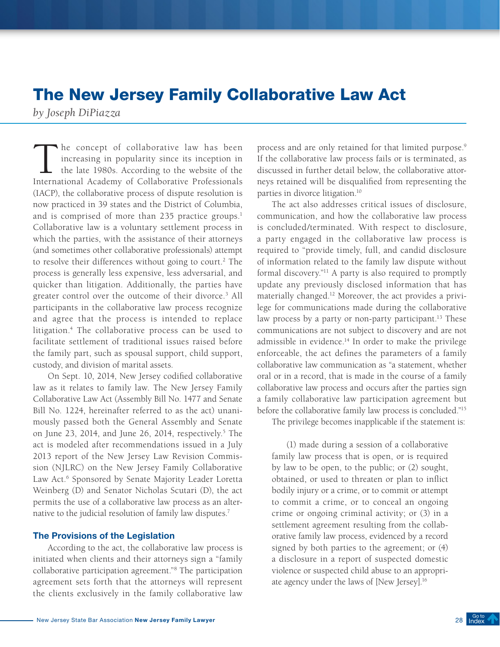# <span id="page-27-0"></span>The New Jersey Family Collaborative Law Act

*by Joseph DiPiazza*

he concept of collaborative law has been increasing in popularity since its inception in the late 1980s. According to the website of the International Academy of Collaborative Professionals (IACP), the collaborative process of dispute resolution is now practiced in 39 states and the District of Columbia, and is comprised of more than 235 practice groups.<sup>1</sup> Collaborative law is a voluntary settlement process in which the parties, with the assistance of their attorneys (and sometimes other collaborative professionals) attempt to resolve their differences without going to court.<sup>2</sup> The process is generally less expensive, less adversarial, and quicker than litigation. Additionally, the parties have greater control over the outcome of their divorce.<sup>3</sup> All participants in the collaborative law process recognize and agree that the process is intended to replace litigation.4 The collaborative process can be used to facilitate settlement of traditional issues raised before the family part, such as spousal support, child support, custody, and division of marital assets.

On Sept. 10, 2014, New Jersey codified collaborative law as it relates to family law. The New Jersey Family Collaborative Law Act (Assembly Bill No. 1477 and Senate Bill No. 1224, hereinafter referred to as the act) unanimously passed both the General Assembly and Senate on June 23, 2014, and June 26, 2014, respectively.<sup>5</sup> The act is modeled after recommendations issued in a July 2013 report of the New Jersey Law Revision Commission (NJLRC) on the New Jersey Family Collaborative Law Act.<sup>6</sup> Sponsored by Senate Majority Leader Loretta Weinberg (D) and Senator Nicholas Scutari (D), the act permits the use of a collaborative law process as an alternative to the judicial resolution of family law disputes.<sup>7</sup>

#### The Provisions of the Legislation

According to the act, the collaborative law process is initiated when clients and their attorneys sign a "family collaborative participation agreement."8 The participation agreement sets forth that the attorneys will represent the clients exclusively in the family collaborative law

process and are only retained for that limited purpose.9 If the collaborative law process fails or is terminated, as discussed in further detail below, the collaborative attorneys retained will be disqualified from representing the parties in divorce litigation.10

The act also addresses critical issues of disclosure, communication, and how the collaborative law process is concluded/terminated. With respect to disclosure, a party engaged in the collaborative law process is required to "provide timely, full, and candid disclosure of information related to the family law dispute without formal discovery."11 A party is also required to promptly update any previously disclosed information that has materially changed.12 Moreover, the act provides a privilege for communications made during the collaborative law process by a party or non-party participant.<sup>13</sup> These communications are not subject to discovery and are not admissible in evidence.14 In order to make the privilege enforceable, the act defines the parameters of a family collaborative law communication as "a statement, whether oral or in a record, that is made in the course of a family collaborative law process and occurs after the parties sign a family collaborative law participation agreement but before the collaborative family law process is concluded."15

The privilege becomes inapplicable if the statement is:

(1) made during a session of a collaborative family law process that is open, or is required by law to be open, to the public; or (2) sought, obtained, or used to threaten or plan to inflict bodily injury or a crime, or to commit or attempt to commit a crime, or to conceal an ongoing crime or ongoing criminal activity; or (3) in a settlement agreement resulting from the collaborative family law process, evidenced by a record signed by both parties to the agreement; or (4) a disclosure in a report of suspected domestic violence or suspected child abuse to an appropriate agency under the laws of [New Jersey].16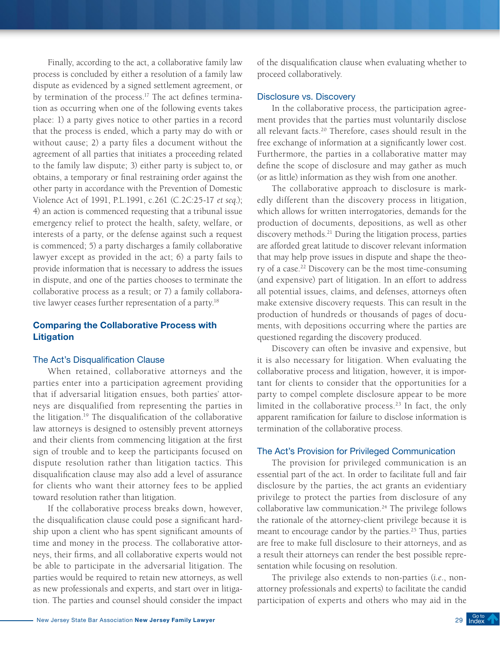Finally, according to the act, a collaborative family law process is concluded by either a resolution of a family law dispute as evidenced by a signed settlement agreement, or by termination of the process.<sup>17</sup> The act defines termination as occurring when one of the following events takes place: 1) a party gives notice to other parties in a record that the process is ended, which a party may do with or without cause; 2) a party files a document without the agreement of all parties that initiates a proceeding related to the family law dispute; 3) either party is subject to, or obtains, a temporary or final restraining order against the other party in accordance with the Prevention of Domestic Violence Act of 1991, P.L.1991, c.261 (C.2C:25-17 *et seq*.); 4) an action is commenced requesting that a tribunal issue emergency relief to protect the health, safety, welfare, or interests of a party, or the defense against such a request is commenced; 5) a party discharges a family collaborative lawyer except as provided in the act; 6) a party fails to provide information that is necessary to address the issues in dispute, and one of the parties chooses to terminate the collaborative process as a result; or 7) a family collaborative lawyer ceases further representation of a party.<sup>18</sup>

# Comparing the Collaborative Process with Litigation

#### The Act's Disqualification Clause

When retained, collaborative attorneys and the parties enter into a participation agreement providing that if adversarial litigation ensues, both parties' attorneys are disqualified from representing the parties in the litigation.19 The disqualification of the collaborative law attorneys is designed to ostensibly prevent attorneys and their clients from commencing litigation at the first sign of trouble and to keep the participants focused on dispute resolution rather than litigation tactics. This disqualification clause may also add a level of assurance for clients who want their attorney fees to be applied toward resolution rather than litigation.

If the collaborative process breaks down, however, the disqualification clause could pose a significant hardship upon a client who has spent significant amounts of time and money in the process. The collaborative attorneys, their firms, and all collaborative experts would not be able to participate in the adversarial litigation. The parties would be required to retain new attorneys, as well as new professionals and experts, and start over in litigation. The parties and counsel should consider the impact

of the disqualification clause when evaluating whether to proceed collaboratively.

#### Disclosure vs. Discovery

In the collaborative process, the participation agreement provides that the parties must voluntarily disclose all relevant facts.20 Therefore, cases should result in the free exchange of information at a significantly lower cost. Furthermore, the parties in a collaborative matter may define the scope of disclosure and may gather as much (or as little) information as they wish from one another.

The collaborative approach to disclosure is markedly different than the discovery process in litigation, which allows for written interrogatories, demands for the production of documents, depositions, as well as other discovery methods.<sup>21</sup> During the litigation process, parties are afforded great latitude to discover relevant information that may help prove issues in dispute and shape the theory of a case.<sup>22</sup> Discovery can be the most time-consuming (and expensive) part of litigation. In an effort to address all potential issues, claims, and defenses, attorneys often make extensive discovery requests. This can result in the production of hundreds or thousands of pages of documents, with depositions occurring where the parties are questioned regarding the discovery produced.

Discovery can often be invasive and expensive, but it is also necessary for litigation. When evaluating the collaborative process and litigation, however, it is important for clients to consider that the opportunities for a party to compel complete disclosure appear to be more limited in the collaborative process.23 In fact, the only apparent ramification for failure to disclose information is termination of the collaborative process.

#### The Act's Provision for Privileged Communication

The provision for privileged communication is an essential part of the act. In order to facilitate full and fair disclosure by the parties, the act grants an evidentiary privilege to protect the parties from disclosure of any collaborative law communication.<sup>24</sup> The privilege follows the rationale of the attorney-client privilege because it is meant to encourage candor by the parties.<sup>25</sup> Thus, parties are free to make full disclosure to their attorneys, and as a result their attorneys can render the best possible representation while focusing on resolution.

The privilege also extends to non-parties (*i.e*., nonattorney professionals and experts) to facilitate the candid participation of experts and others who may aid in the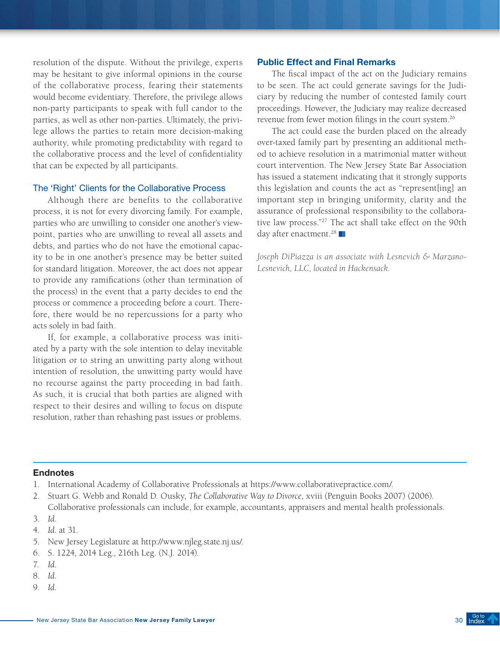resolution of the dispute. Without the privilege, experts may be hesitant to give informal opinions in the course of the collaborative process, fearing their statements would become evidentiary. Therefore, the privilege allows non-party participants to speak with full candor to the parties, as well as other non-parties. Ultimately, the privilege allows the parties to retain more decision-making authority, while promoting predictability with regard to the collaborative process and the level of confidentiality that can be expected by all participants.

### The 'Right' Clients for the Collaborative Process

Although there are benefits to the collaborative process, it is not for every divorcing family. For example, parties who are unwilling to consider one another's viewpoint, parties who are unwilling to reveal all assets and debts, and parties who do not have the emotional capacity to be in one another's presence may be better suited for standard litigation. Moreover, the act does not appear to provide any ramifications (other than termination of the process) in the event that a party decides to end the process or commence a proceeding before a court. Therefore, there would be no repercussions for a party who acts solely in bad faith.

If, for example, a collaborative process was initiated by a party with the sole intention to delay inevitable litigation or to string an unwitting party along without intention of resolution, the unwitting party would have no recourse against the party proceeding in bad faith. As such, it is crucial that both parties are aligned with respect to their desires and willing to focus on dispute resolution, rather than rehashing past issues or problems.

#### Public Effect and Final Remarks

The fiscal impact of the act on the Judiciary remains to be seen. The act could generate savings for the Judiciary by reducing the number of contested family court proceedings. However, the Judiciary may realize decreased revenue from fewer motion filings in the court system.26

The act could ease the burden placed on the already over-taxed family part by presenting an additional method to achieve resolution in a matrimonial matter without court intervention. The New Jersey State Bar Association has issued a statement indicating that it strongly supports this legislation and counts the act as "represent[ing] an important step in bringing uniformity, clarity and the assurance of professional responsibility to the collaborative law process."27 The act shall take effect on the 90th day after enactment.<sup>28</sup>

*Joseph DiPiazza is an associate with Lesnevich & Marzano-Lesnevich, LLC, located in Hackensack.*

- 1. International Academy of Collaborative Professionals at https://www.collaborativepractice.com/.
- 2. Stuart G. Webb and Ronald D. Ousky, *The Collaborative Way to Divorce*, xviii (Penguin Books 2007) (2006). Collaborative professionals can include, for example, accountants, appraisers and mental health professionals.
- 3. *Id.*
- 4. *Id.* at 31.
- 5. New Jersey Legislature at http://www.njleg.state.nj.us/.
- 6. S. 1224, 2014 Leg., 216th Leg. (N.J. 2014).
- 7. *Id.*
- 8. *Id.*
- 9. *Id.*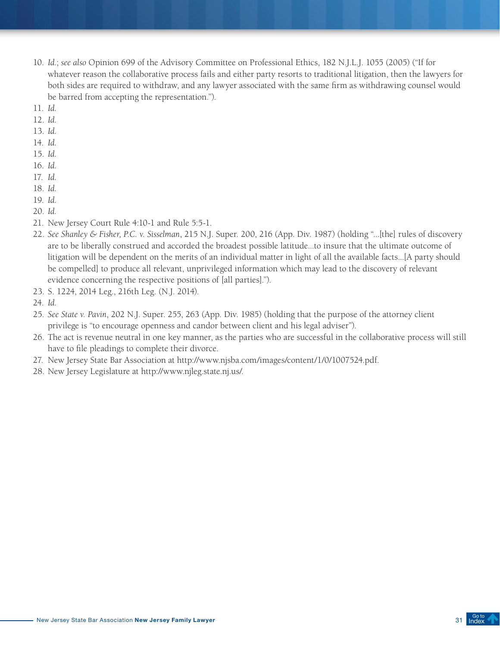- 10. *Id.*; *see also* Opinion 699 of the Advisory Committee on Professional Ethics, 182 N.J.L.J. 1055 (2005) ("If for whatever reason the collaborative process fails and either party resorts to traditional litigation, then the lawyers for both sides are required to withdraw, and any lawyer associated with the same firm as withdrawing counsel would be barred from accepting the representation.").
- 11. *Id.*
- 12. *Id.*
- 13. *Id.*
- 14. *Id.*
- 15. *Id.*
- 16. *Id.*
- 17. *Id.*
- 18. *Id.*
- 19. *Id.*
- 20. *Id.*
- 21. New Jersey Court Rule 4:10-1 and Rule 5:5-1.
- 22. *See Shanley & Fisher, P.C. v. Sisselman*, 215 N.J. Super. 200, 216 (App. Div. 1987) (holding "...[the] rules of discovery are to be liberally construed and accorded the broadest possible latitude...to insure that the ultimate outcome of litigation will be dependent on the merits of an individual matter in light of all the available facts...[A party should be compelled] to produce all relevant, unprivileged information which may lead to the discovery of relevant evidence concerning the respective positions of [all parties].").
- 23. S. 1224, 2014 Leg., 216th Leg. (N.J. 2014).
- 24. *Id.*
- 25. *See State v. Pavin*, 202 N.J. Super. 255, 263 (App. Div. 1985) (holding that the purpose of the attorney client privilege is "to encourage openness and candor between client and his legal adviser").
- 26. The act is revenue neutral in one key manner, as the parties who are successful in the collaborative process will still have to file pleadings to complete their divorce.
- 27. New Jersey State Bar Association at http://www.njsba.com/images/content/1/0/1007524.pdf.
- 28. New Jersey Legislature at http://www.njleg.state.nj.us/.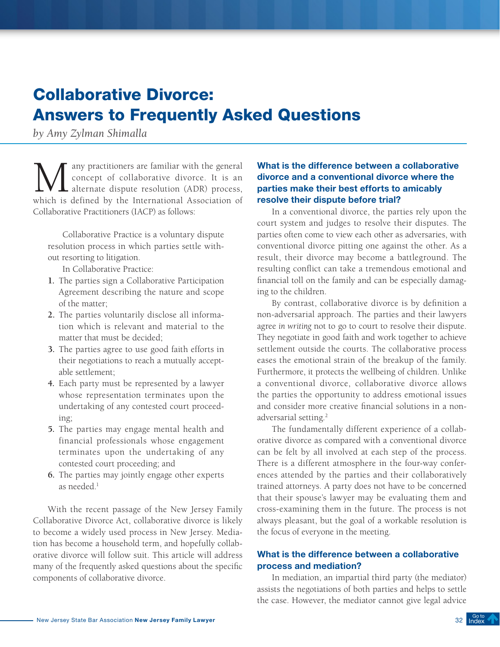# <span id="page-31-0"></span>Collaborative Divorce: Answers to Frequently Asked Questions

*by Amy Zylman Shimalla*

Many practitioners are familiar with the general<br>concept of collaborative divorce. It is an<br>alternate dispute resolution (ADR) process,<br>which is defined by the International Association of concept of collaborative divorce. It is an alternate dispute resolution (ADR) process, which is defined by the International Association of Collaborative Practitioners (IACP) as follows:

Collaborative Practice is a voluntary dispute resolution process in which parties settle without resorting to litigation.

In Collaborative Practice:

- **1.** The parties sign a Collaborative Participation Agreement describing the nature and scope of the matter;
- **2.** The parties voluntarily disclose all information which is relevant and material to the matter that must be decided;
- **3.** The parties agree to use good faith efforts in their negotiations to reach a mutually acceptable settlement;
- **4.** Each party must be represented by a lawyer whose representation terminates upon the undertaking of any contested court proceeding;
- **5.** The parties may engage mental health and financial professionals whose engagement terminates upon the undertaking of any contested court proceeding; and
- **6.** The parties may jointly engage other experts as needed.<sup>1</sup>

With the recent passage of the New Jersey Family Collaborative Divorce Act, collaborative divorce is likely to become a widely used process in New Jersey. Mediation has become a household term, and hopefully collaborative divorce will follow suit. This article will address many of the frequently asked questions about the specific components of collaborative divorce.

# What is the difference between a collaborative divorce and a conventional divorce where the parties make their best efforts to amicably resolve their dispute before trial?

In a conventional divorce, the parties rely upon the court system and judges to resolve their disputes. The parties often come to view each other as adversaries, with conventional divorce pitting one against the other. As a result, their divorce may become a battleground. The resulting conflict can take a tremendous emotional and financial toll on the family and can be especially damaging to the children.

By contrast, collaborative divorce is by definition a non-adversarial approach. The parties and their lawyers agree *in writing* not to go to court to resolve their dispute. They negotiate in good faith and work together to achieve settlement outside the courts. The collaborative process eases the emotional strain of the breakup of the family. Furthermore, it protects the wellbeing of children. Unlike a conventional divorce, collaborative divorce allows the parties the opportunity to address emotional issues and consider more creative financial solutions in a nonadversarial setting.2

The fundamentally different experience of a collaborative divorce as compared with a conventional divorce can be felt by all involved at each step of the process. There is a different atmosphere in the four-way conferences attended by the parties and their collaboratively trained attorneys. A party does not have to be concerned that their spouse's lawyer may be evaluating them and cross-examining them in the future. The process is not always pleasant, but the goal of a workable resolution is the focus of everyone in the meeting.

# What is the difference between a collaborative process and mediation?

In mediation, an impartial third party (the mediator) assists the negotiations of both parties and helps to settle the case. However, the mediator cannot give legal advice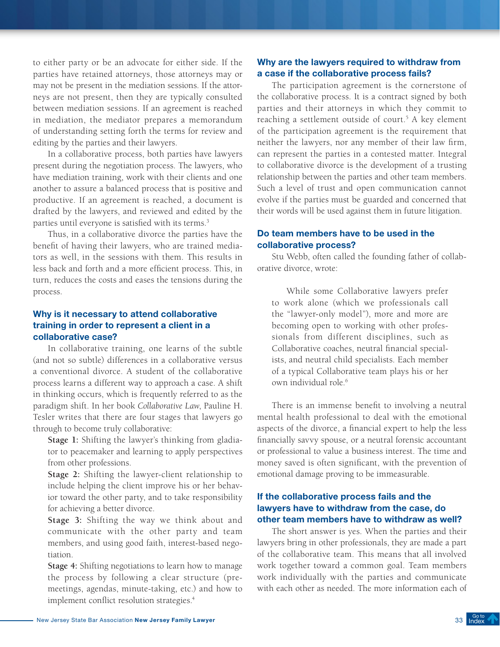to either party or be an advocate for either side. If the parties have retained attorneys, those attorneys may or may not be present in the mediation sessions. If the attorneys are not present, then they are typically consulted between mediation sessions. If an agreement is reached in mediation, the mediator prepares a memorandum of understanding setting forth the terms for review and editing by the parties and their lawyers.

In a collaborative process, both parties have lawyers present during the negotiation process. The lawyers, who have mediation training, work with their clients and one another to assure a balanced process that is positive and productive. If an agreement is reached, a document is drafted by the lawyers, and reviewed and edited by the parties until everyone is satisfied with its terms.<sup>3</sup>

Thus, in a collaborative divorce the parties have the benefit of having their lawyers, who are trained mediators as well, in the sessions with them. This results in less back and forth and a more efficient process. This, in turn, reduces the costs and eases the tensions during the process.

# Why is it necessary to attend collaborative training in order to represent a client in a collaborative case?

In collaborative training, one learns of the subtle (and not so subtle) differences in a collaborative versus a conventional divorce. A student of the collaborative process learns a different way to approach a case. A shift in thinking occurs, which is frequently referred to as the paradigm shift. In her book *Collaborative Law*, Pauline H. Tesler writes that there are four stages that lawyers go through to become truly collaborative:

**Stage 1:** Shifting the lawyer's thinking from gladiator to peacemaker and learning to apply perspectives from other professions.

**Stage 2:** Shifting the lawyer-client relationship to include helping the client improve his or her behavior toward the other party, and to take responsibility for achieving a better divorce.

**Stage 3:** Shifting the way we think about and communicate with the other party and team members, and using good faith, interest-based negotiation.

**Stage 4:** Shifting negotiations to learn how to manage the process by following a clear structure (premeetings, agendas, minute-taking, etc.) and how to implement conflict resolution strategies.<sup>4</sup>

# Why are the lawyers required to withdraw from a case if the collaborative process fails?

The participation agreement is the cornerstone of the collaborative process. It is a contract signed by both parties and their attorneys in which they commit to reaching a settlement outside of court.<sup>5</sup> A key element of the participation agreement is the requirement that neither the lawyers, nor any member of their law firm, can represent the parties in a contested matter. Integral to collaborative divorce is the development of a trusting relationship between the parties and other team members. Such a level of trust and open communication cannot evolve if the parties must be guarded and concerned that their words will be used against them in future litigation.

# Do team members have to be used in the collaborative process?

Stu Webb, often called the founding father of collaborative divorce, wrote:

While some Collaborative lawyers prefer to work alone (which we professionals call the "lawyer-only model"), more and more are becoming open to working with other professionals from different disciplines, such as Collaborative coaches, neutral financial specialists, and neutral child specialists. Each member of a typical Collaborative team plays his or her own individual role.6

There is an immense benefit to involving a neutral mental health professional to deal with the emotional aspects of the divorce, a financial expert to help the less financially savvy spouse, or a neutral forensic accountant or professional to value a business interest. The time and money saved is often significant, with the prevention of emotional damage proving to be immeasurable.

# If the collaborative process fails and the lawyers have to withdraw from the case, do other team members have to withdraw as well?

The short answer is yes. When the parties and their lawyers bring in other professionals, they are made a part of the collaborative team. This means that all involved work together toward a common goal. Team members work individually with the parties and communicate with each other as needed. The more information each of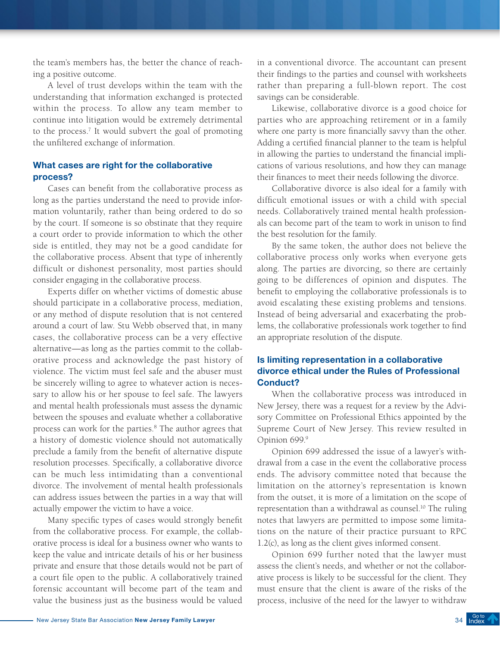the team's members has, the better the chance of reaching a positive outcome.

A level of trust develops within the team with the understanding that information exchanged is protected within the process. To allow any team member to continue into litigation would be extremely detrimental to the process.7 It would subvert the goal of promoting the unfiltered exchange of information.

# What cases are right for the collaborative process?

Cases can benefit from the collaborative process as long as the parties understand the need to provide information voluntarily, rather than being ordered to do so by the court. If someone is so obstinate that they require a court order to provide information to which the other side is entitled, they may not be a good candidate for the collaborative process. Absent that type of inherently difficult or dishonest personality, most parties should consider engaging in the collaborative process.

Experts differ on whether victims of domestic abuse should participate in a collaborative process, mediation, or any method of dispute resolution that is not centered around a court of law. Stu Webb observed that, in many cases, the collaborative process can be a very effective alternative—as long as the parties commit to the collaborative process and acknowledge the past history of violence. The victim must feel safe and the abuser must be sincerely willing to agree to whatever action is necessary to allow his or her spouse to feel safe. The lawyers and mental health professionals must assess the dynamic between the spouses and evaluate whether a collaborative process can work for the parties.<sup>8</sup> The author agrees that a history of domestic violence should not automatically preclude a family from the benefit of alternative dispute resolution processes. Specifically, a collaborative divorce can be much less intimidating than a conventional divorce. The involvement of mental health professionals can address issues between the parties in a way that will actually empower the victim to have a voice.

Many specific types of cases would strongly benefit from the collaborative process. For example, the collaborative process is ideal for a business owner who wants to keep the value and intricate details of his or her business private and ensure that those details would not be part of a court file open to the public. A collaboratively trained forensic accountant will become part of the team and value the business just as the business would be valued

in a conventional divorce. The accountant can present their findings to the parties and counsel with worksheets rather than preparing a full-blown report. The cost savings can be considerable.

Likewise, collaborative divorce is a good choice for parties who are approaching retirement or in a family where one party is more financially savvy than the other. Adding a certified financial planner to the team is helpful in allowing the parties to understand the financial implications of various resolutions, and how they can manage their finances to meet their needs following the divorce.

Collaborative divorce is also ideal for a family with difficult emotional issues or with a child with special needs. Collaboratively trained mental health professionals can become part of the team to work in unison to find the best resolution for the family.

By the same token, the author does not believe the collaborative process only works when everyone gets along. The parties are divorcing, so there are certainly going to be differences of opinion and disputes. The benefit to employing the collaborative professionals is to avoid escalating these existing problems and tensions. Instead of being adversarial and exacerbating the problems, the collaborative professionals work together to find an appropriate resolution of the dispute.

# Is limiting representation in a collaborative divorce ethical under the Rules of Professional Conduct?

When the collaborative process was introduced in New Jersey, there was a request for a review by the Advisory Committee on Professional Ethics appointed by the Supreme Court of New Jersey. This review resulted in Opinion 699.9

Opinion 699 addressed the issue of a lawyer's withdrawal from a case in the event the collaborative process ends. The advisory committee noted that because the limitation on the attorney's representation is known from the outset, it is more of a limitation on the scope of representation than a withdrawal as counsel.<sup>10</sup> The ruling notes that lawyers are permitted to impose some limitations on the nature of their practice pursuant to RPC 1.2(c), as long as the client gives informed consent.

Opinion 699 further noted that the lawyer must assess the client's needs, and whether or not the collaborative process is likely to be successful for the client. They must ensure that the client is aware of the risks of the process, inclusive of the need for the lawyer to withdraw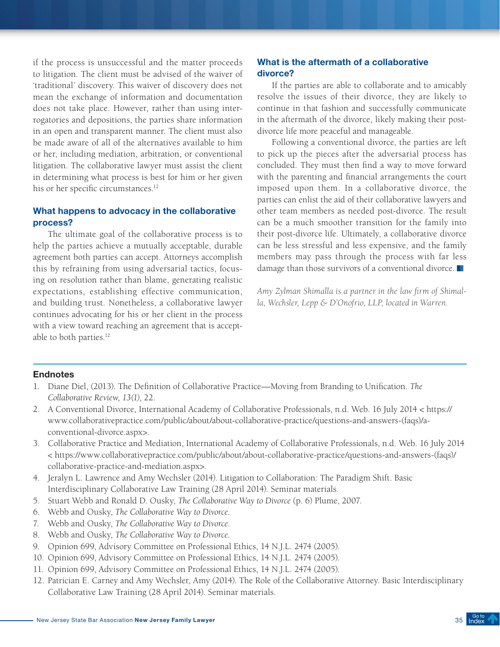if the process is unsuccessful and the matter proceeds to litigation. The client must be advised of the waiver of 'traditional' discovery. This waiver of discovery does not mean the exchange of information and documentation does not take place. However, rather than using interrogatories and depositions, the parties share information in an open and transparent manner. The client must also be made aware of all of the alternatives available to him or her, including mediation, arbitration, or conventional litigation. The collaborative lawyer must assist the client in determining what process is best for him or her given his or her specific circumstances.<sup>12</sup>

# What happens to advocacy in the collaborative process?

The ultimate goal of the collaborative process is to help the parties achieve a mutually acceptable, durable agreement both parties can accept. Attorneys accomplish this by refraining from using adversarial tactics, focusing on resolution rather than blame, generating realistic expectations, establishing effective communication, and building trust. Nonetheless, a collaborative lawyer continues advocating for his or her client in the process with a view toward reaching an agreement that is acceptable to both parties.<sup>12</sup>

# What is the aftermath of a collaborative divorce?

If the parties are able to collaborate and to amicably resolve the issues of their divorce, they are likely to continue in that fashion and successfully communicate in the aftermath of the divorce, likely making their postdivorce life more peaceful and manageable.

Following a conventional divorce, the parties are left to pick up the pieces after the adversarial process has concluded. They must then find a way to move forward with the parenting and financial arrangements the court imposed upon them. In a collaborative divorce, the parties can enlist the aid of their collaborative lawyers and other team members as needed post-divorce. The result can be a much smoother transition for the family into their post-divorce life. Ultimately, a collaborative divorce can be less stressful and less expensive, and the family members may pass through the process with far less damage than those survivors of a conventional divorce.

*Amy Zylman Shimalla is a partner in the law firm of Shimalla, Wechsler, Lepp & D'Onofrio, LLP, located in Warren.*

- 1. Diane Diel, (2013). The Definition of Collaborative Practice—Moving from Branding to Unification. *The Collaborative Review, 13(1)*, 22.
- 2. A Conventional Divorce, International Academy of Collaborative Professionals, n.d. Web. 16 July 2014 < [https://](https://www.collaborativepractice.com/public/about/about-collaborative-practice/questions-and-answers-(faqs)/a-conventional-divorce.aspx) [www.collaborativepractice.com/public/about/about-collaborative-practice/questions-and-answers-\(faqs\)/a](https://www.collaborativepractice.com/public/about/about-collaborative-practice/questions-and-answers-(faqs)/a-conventional-divorce.aspx)[conventional-divorce.aspx>](https://www.collaborativepractice.com/public/about/about-collaborative-practice/questions-and-answers-(faqs)/a-conventional-divorce.aspx).
- 3. Collaborative Practice and Mediation, International Academy of Collaborative Professionals, n.d. Web. 16 July 2014 < [https://www.collaborativepractice.com/public/about/about-collaborative-practice/questions-and-answers-\(faqs\)/](https://www.collaborativepractice.com/public/about/about-collaborative-practice/questions-and-answers-(faqs)/collaborative-practice-and-mediation.aspx) [collaborative-practice-and-mediation.aspx>](https://www.collaborativepractice.com/public/about/about-collaborative-practice/questions-and-answers-(faqs)/collaborative-practice-and-mediation.aspx).
- 4. Jeralyn L. Lawrence and Amy Wechsler (2014). Litigation to Collaboration: The Paradigm Shift. Basic Interdisciplinary Collaborative Law Training (28 April 2014). Seminar materials.
- 5. Stuart Webb and Ronald D. Ousky, *The Collaborative Way to Divorce* (p. 6) Plume, 2007.
- 6. Webb and Ousky, *The Collaborative Way to Divorce.*
- 7. Webb and Ousky, *The Collaborative Way to Divorce.*
- 8. Webb and Ousky, *The Collaborative Way to Divorce.*
- 9. Opinion 699, Advisory Committee on Professional Ethics, 14 N.J.L. 2474 (2005).
- 10. Opinion 699, Advisory Committee on Professional Ethics, 14 N.J.L. 2474 (2005).
- 11. Opinion 699, Advisory Committee on Professional Ethics, 14 N.J.L. 2474 (2005).
- 12. Patrician E. Carney and Amy Wechsler, Amy (2014). The Role of the Collaborative Attorney. Basic Interdisciplinary Collaborative Law Training (28 April 2014). Seminar materials.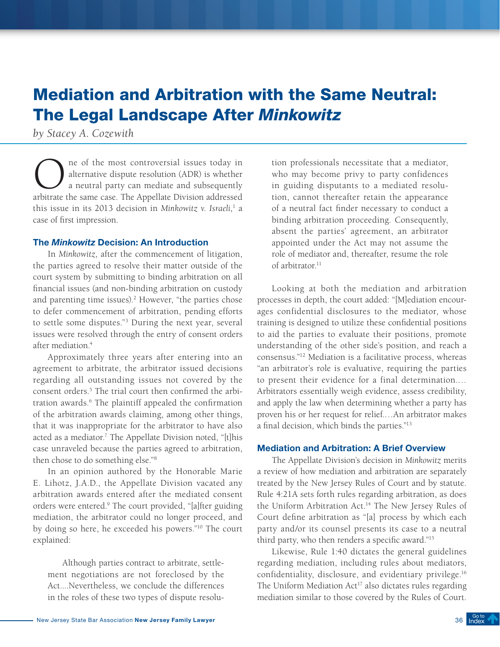# <span id="page-35-0"></span>Mediation and Arbitration with the Same Neutral: The Legal Landscape After *Minkowitz*

*by Stacey A. Cozewith*

The of the most controversial issues today in<br>alternative dispute resolution (ADR) is whether<br>a neutral party can mediate and subsequently<br>arbitrate the same case. The Appellate Division addressed alternative dispute resolution (ADR) is whether a neutral party can mediate and subsequently arbitrate the same case. The Appellate Division addressed this issue in its 2013 decision in *Minkowitz v. Israeli,*<sup>1</sup> a case of first impression.

### The *Minkowitz* Decision: An Introduction

In *Minkowitz*, after the commencement of litigation, the parties agreed to resolve their matter outside of the court system by submitting to binding arbitration on all financial issues (and non-binding arbitration on custody and parenting time issues).<sup>2</sup> However, "the parties chose to defer commencement of arbitration, pending efforts to settle some disputes."3 During the next year, several issues were resolved through the entry of consent orders after mediation.4

Approximately three years after entering into an agreement to arbitrate, the arbitrator issued decisions regarding all outstanding issues not covered by the consent orders.<sup>5</sup> The trial court then confirmed the arbitration awards.6 The plaintiff appealed the confirmation of the arbitration awards claiming, among other things, that it was inappropriate for the arbitrator to have also acted as a mediator.<sup>7</sup> The Appellate Division noted, "[t]his case unraveled because the parties agreed to arbitration, then chose to do something else."8

In an opinion authored by the Honorable Marie E. Lihotz, J.A.D., the Appellate Division vacated any arbitration awards entered after the mediated consent orders were entered.<sup>9</sup> The court provided, "[a]fter guiding mediation, the arbitrator could no longer proceed, and by doing so here, he exceeded his powers."10 The court explained:

Although parties contract to arbitrate, settlement negotiations are not foreclosed by the Act....Nevertheless, we conclude the differences in the roles of these two types of dispute resolution professionals necessitate that a mediator, who may become privy to party confidences in guiding disputants to a mediated resolution, cannot thereafter retain the appearance of a neutral fact finder necessary to conduct a binding arbitration proceeding. Consequently, absent the parties' agreement, an arbitrator appointed under the Act may not assume the role of mediator and, thereafter, resume the role of arbitrator<sup>11</sup>

Looking at both the mediation and arbitration processes in depth, the court added: "[M]ediation encourages confidential disclosures to the mediator, whose training is designed to utilize these confidential positions to aid the parties to evaluate their positions, promote understanding of the other side's position, and reach a consensus."12 Mediation is a facilitative process, whereas "an arbitrator's role is evaluative, requiring the parties to present their evidence for a final determination.… Arbitrators essentially weigh evidence, assess credibility, and apply the law when determining whether a party has proven his or her request for relief.…An arbitrator makes a final decision, which binds the parties."13

### Mediation and Arbitration: A Brief Overview

The Appellate Division's decision in *Minkowitz* merits a review of how mediation and arbitration are separately treated by the New Jersey Rules of Court and by statute. Rule 4:21A sets forth rules regarding arbitration, as does the Uniform Arbitration Act.14 The New Jersey Rules of Court define arbitration as "[a] process by which each party and/or its counsel presents its case to a neutral third party, who then renders a specific award."15

Likewise, Rule 1:40 dictates the general guidelines regarding mediation, including rules about mediators, confidentiality, disclosure, and evidentiary privilege.16 The Uniform Mediation  $Act^{17}$  also dictates rules regarding mediation similar to those covered by the Rules of Court.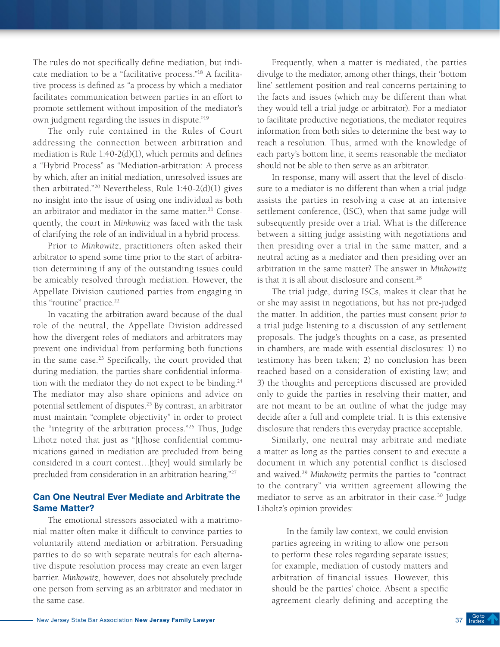The rules do not specifically define mediation, but indicate mediation to be a "facilitative process."18 A facilitative process is defined as "a process by which a mediator facilitates communication between parties in an effort to promote settlement without imposition of the mediator's own judgment regarding the issues in dispute."19

The only rule contained in the Rules of Court addressing the connection between arbitration and mediation is Rule 1:40-2(d)(1), which permits and defines a "Hybrid Process" as "Mediation-arbitration: A process by which, after an initial mediation, unresolved issues are then arbitrated."20 Nevertheless, Rule 1:40-2(d)(1) gives no insight into the issue of using one individual as both an arbitrator and mediator in the same matter.<sup>21</sup> Consequently, the court in *Minkowitz* was faced with the task of clarifying the role of an individual in a hybrid process.

Prior to *Minkowitz*, practitioners often asked their arbitrator to spend some time prior to the start of arbitration determining if any of the outstanding issues could be amicably resolved through mediation. However, the Appellate Division cautioned parties from engaging in this "routine" practice.<sup>22</sup>

In vacating the arbitration award because of the dual role of the neutral, the Appellate Division addressed how the divergent roles of mediators and arbitrators may prevent one individual from performing both functions in the same case.<sup>23</sup> Specifically, the court provided that during mediation, the parties share confidential information with the mediator they do not expect to be binding. $24$ The mediator may also share opinions and advice on potential settlement of disputes.<sup>25</sup> By contrast, an arbitrator must maintain "complete objectivity" in order to protect the "integrity of the arbitration process."26 Thus, Judge Lihotz noted that just as "[t]hose confidential communications gained in mediation are precluded from being considered in a court contest…[they] would similarly be precluded from consideration in an arbitration hearing."27

# Can One Neutral Ever Mediate and Arbitrate the Same Matter?

The emotional stressors associated with a matrimonial matter often make it difficult to convince parties to voluntarily attend mediation or arbitration. Persuading parties to do so with separate neutrals for each alternative dispute resolution process may create an even larger barrier. *Minkowitz*, however, does not absolutely preclude one person from serving as an arbitrator and mediator in the same case.

Frequently, when a matter is mediated, the parties divulge to the mediator, among other things, their 'bottom line' settlement position and real concerns pertaining to the facts and issues (which may be different than what they would tell a trial judge or arbitrator). For a mediator to facilitate productive negotiations, the mediator requires information from both sides to determine the best way to reach a resolution. Thus, armed with the knowledge of each party's bottom line, it seems reasonable the mediator should not be able to then serve as an arbitrator.

In response, many will assert that the level of disclosure to a mediator is no different than when a trial judge assists the parties in resolving a case at an intensive settlement conference, (ISC), when that same judge will subsequently preside over a trial. What is the difference between a sitting judge assisting with negotiations and then presiding over a trial in the same matter, and a neutral acting as a mediator and then presiding over an arbitration in the same matter? The answer in *Minkowitz* is that it is all about disclosure and consent.<sup>28</sup>

The trial judge, during ISCs, makes it clear that he or she may assist in negotiations, but has not pre-judged the matter. In addition, the parties must consent *prior to* a trial judge listening to a discussion of any settlement proposals. The judge's thoughts on a case, as presented in chambers, are made with essential disclosures: 1) no testimony has been taken; 2) no conclusion has been reached based on a consideration of existing law; and 3) the thoughts and perceptions discussed are provided only to guide the parties in resolving their matter, and are not meant to be an outline of what the judge may decide after a full and complete trial. It is this extensive disclosure that renders this everyday practice acceptable.

Similarly, one neutral may arbitrate and mediate a matter as long as the parties consent to and execute a document in which any potential conflict is disclosed and waived.29 *Minkowitz* permits the parties to "contract to the contrary" via written agreement allowing the mediator to serve as an arbitrator in their case.30 Judge Liholtz's opinion provides:

In the family law context, we could envision parties agreeing in writing to allow one person to perform these roles regarding separate issues; for example, mediation of custody matters and arbitration of financial issues. However, this should be the parties' choice. Absent a specific agreement clearly defining and accepting the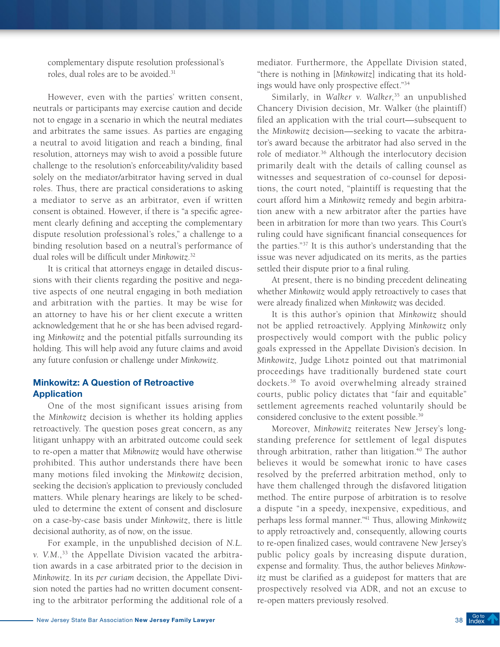complementary dispute resolution professional's roles, dual roles are to be avoided.<sup>31</sup>

However, even with the parties' written consent, neutrals or participants may exercise caution and decide not to engage in a scenario in which the neutral mediates and arbitrates the same issues. As parties are engaging a neutral to avoid litigation and reach a binding, final resolution, attorneys may wish to avoid a possible future challenge to the resolution's enforceability/validity based solely on the mediator/arbitrator having served in dual roles. Thus, there are practical considerations to asking a mediator to serve as an arbitrator, even if written consent is obtained. However, if there is "a specific agreement clearly defining and accepting the complementary dispute resolution professional's roles," a challenge to a binding resolution based on a neutral's performance of dual roles will be difficult under *Minkowitz*. 32

It is critical that attorneys engage in detailed discussions with their clients regarding the positive and negative aspects of one neutral engaging in both mediation and arbitration with the parties. It may be wise for an attorney to have his or her client execute a written acknowledgement that he or she has been advised regarding *Minkowitz* and the potential pitfalls surrounding its holding. This will help avoid any future claims and avoid any future confusion or challenge under *Minkowitz*.

# Minkowitz: A Question of Retroactive Application

One of the most significant issues arising from the *Minkowitz* decision is whether its holding applies retroactively. The question poses great concern, as any litigant unhappy with an arbitrated outcome could seek to re-open a matter that *Miknowitz* would have otherwise prohibited. This author understands there have been many motions filed invoking the *Minkowitz* decision, seeking the decision's application to previously concluded matters. While plenary hearings are likely to be scheduled to determine the extent of consent and disclosure on a case-by-case basis under *Minkowitz*, there is little decisional authority, as of now, on the issue.

For example, in the unpublished decision of *N.L. v. V.M.*, 33 the Appellate Division vacated the arbitration awards in a case arbitrated prior to the decision in *Minkowitz*. In its *per curiam* decision, the Appellate Division noted the parties had no written document consenting to the arbitrator performing the additional role of a

mediator. Furthermore, the Appellate Division stated, "there is nothing in [*Minkowitz*] indicating that its holdings would have only prospective effect."34

Similarly, in *Walker v. Walker*, 35 an unpublished Chancery Division decision, Mr. Walker (the plaintiff) filed an application with the trial court—subsequent to the *Minkowitz* decision—seeking to vacate the arbitrator's award because the arbitrator had also served in the role of mediator.36 Although the interlocutory decision primarily dealt with the details of calling counsel as witnesses and sequestration of co-counsel for depositions, the court noted, "plaintiff is requesting that the court afford him a *Minkowitz* remedy and begin arbitration anew with a new arbitrator after the parties have been in arbitration for more than two years. This Court's ruling could have significant financial consequences for the parties."37 It is this author's understanding that the issue was never adjudicated on its merits, as the parties settled their dispute prior to a final ruling.

At present, there is no binding precedent delineating whether *Minkowitz* would apply retroactively to cases that were already finalized when *Minkowitz* was decided.

It is this author's opinion that *Minkowitz* should not be applied retroactively. Applying *Minkowitz* only prospectively would comport with the public policy goals expressed in the Appellate Division's decision. In *Minkowitz*, Judge Lihotz pointed out that matrimonial proceedings have traditionally burdened state court dockets.38 To avoid overwhelming already strained courts, public policy dictates that "fair and equitable" settlement agreements reached voluntarily should be considered conclusive to the extent possible.39

Moreover, *Minkowitz* reiterates New Jersey's longstanding preference for settlement of legal disputes through arbitration, rather than litigation.<sup>40</sup> The author believes it would be somewhat ironic to have cases resolved by the preferred arbitration method, only to have them challenged through the disfavored litigation method. The entire purpose of arbitration is to resolve a dispute "in a speedy, inexpensive, expeditious, and perhaps less formal manner."41 Thus, allowing *Minkowitz* to apply retroactively and, consequently, allowing courts to re-open finalized cases, would contravene New Jersey's public policy goals by increasing dispute duration, expense and formality. Thus, the author believes *Minkowitz* must be clarified as a guidepost for matters that are prospectively resolved via ADR, and not an excuse to re-open matters previously resolved.